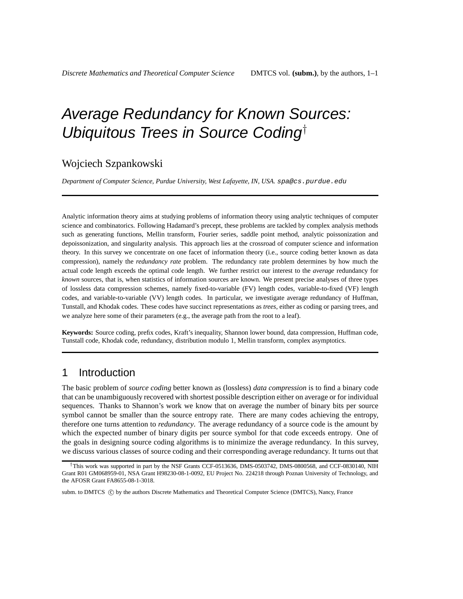# Average Redundancy for Known Sources: Ubiquitous Trees in Source Coding†

### Wojciech Szpankowski

*Department of Computer Science, Purdue University, West Lafayette, IN, USA.* spa@cs.purdue.edu

Analytic information theory aims at studying problems of information theory using analytic techniques of computer science and combinatorics. Following Hadamard's precept, these problems are tackled by complex analysis methods such as generating functions, Mellin transform, Fourier series, saddle point method, analytic poissonization and depoissonization, and singularity analysis. This approach lies at the crossroad of computer science and information theory. In this survey we concentrate on one facet of information theory (i.e., source coding better known as data compression), namely the *redundancy rate* problem. The redundancy rate problem determines by how much the actual code length exceeds the optimal code length. We further restrict our interest to the *average* redundancy for *known* sources, that is, when statistics of information sources are known. We present precise analyses of three types of lossless data compression schemes, namely fixed-to-variable (FV) length codes, variable-to-fixed (VF) length codes, and variable-to-variable (VV) length codes. In particular, we investigate average redundancy of Huffman, Tunstall, and Khodak codes. These codes have succinct representations as *trees*, either as coding or parsing trees, and we analyze here some of their parameters (e.g., the average path from the root to a leaf).

**Keywords:** Source coding, prefix codes, Kraft's inequality, Shannon lower bound, data compression, Huffman code, Tunstall code, Khodak code, redundancy, distribution modulo 1, Mellin transform, complex asymptotics.

## 1 Introduction

The basic problem of *source coding* better known as (lossless) *data compression* is to find a binary code that can be unambiguously recovered with shortest possible description either on average or for individual sequences. Thanks to Shannon's work we know that on average the number of binary bits per source symbol cannot be smaller than the source entropy rate. There are many codes achieving the entropy, therefore one turns attention to *redundancy*. The average redundancy of a source code is the amount by which the expected number of binary digits per source symbol for that code exceeds entropy. One of the goals in designing source coding algorithms is to minimize the average redundancy. In this survey, we discuss various classes of source coding and their corresponding average redundancy. It turns out that

subm. to DMTCS  $\odot$  by the authors Discrete Mathematics and Theoretical Computer Science (DMTCS), Nancy, France

<sup>†</sup>This work was supported in part by the NSF Grants CCF-0513636, DMS-0503742, DMS-0800568, and CCF-0830140, NIH Grant R01 GM068959-01, NSA Grant H98230-08-1-0092, EU Project No. 224218 through Poznan University of Technology, and the AFOSR Grant FA8655-08-1-3018.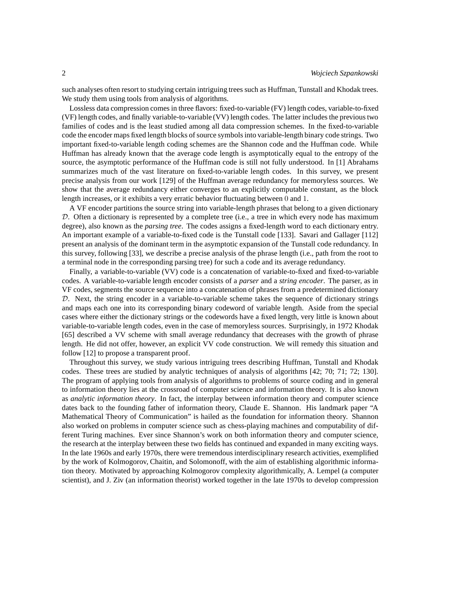such analyses often resort to studying certain intriguing trees such as Huffman, Tunstall and Khodak trees. We study them using tools from analysis of algorithms.

Lossless data compression comes in three flavors: fixed-to-variable (FV) length codes, variable-to-fixed (VF) length codes, and finally variable-to-variable (VV) length codes. The latter includes the previous two families of codes and is the least studied among all data compression schemes. In the fixed-to-variable code the encoder maps fixed length blocks of source symbols into variable-length binary code strings. Two important fixed-to-variable length coding schemes are the Shannon code and the Huffman code. While Huffman has already known that the average code length is asymptotically equal to the entropy of the source, the asymptotic performance of the Huffman code is still not fully understood. In [1] Abrahams summarizes much of the vast literature on fixed-to-variable length codes. In this survey, we present precise analysis from our work [129] of the Huffman average redundancy for memoryless sources. We show that the average redundancy either converges to an explicitly computable constant, as the block length increases, or it exhibits a very erratic behavior fluctuating between 0 and 1.

A VF encoder partitions the source string into variable-length phrases that belong to a given dictionary  $D$ . Often a dictionary is represented by a complete tree (i.e., a tree in which every node has maximum degree), also known as the *parsing tree*. The codes assigns a fixed-length word to each dictionary entry. An important example of a variable-to-fixed code is the Tunstall code [133]. Savari and Gallager [112] present an analysis of the dominant term in the asymptotic expansion of the Tunstall code redundancy. In this survey, following [33], we describe a precise analysis of the phrase length (i.e., path from the root to a terminal node in the corresponding parsing tree) for such a code and its average redundancy.

Finally, a variable-to-variable (VV) code is a concatenation of variable-to-fixed and fixed-to-variable codes. A variable-to-variable length encoder consists of a *parser* and a *string encoder*. The parser, as in VF codes, segments the source sequence into a concatenation of phrases from a predetermined dictionary D. Next, the string encoder in a variable-to-variable scheme takes the sequence of dictionary strings and maps each one into its corresponding binary codeword of variable length. Aside from the special cases where either the dictionary strings or the codewords have a fixed length, very little is known about variable-to-variable length codes, even in the case of memoryless sources. Surprisingly, in 1972 Khodak [65] described a VV scheme with small average redundancy that decreases with the growth of phrase length. He did not offer, however, an explicit VV code construction. We will remedy this situation and follow [12] to propose a transparent proof.

Throughout this survey, we study various intriguing trees describing Huffman, Tunstall and Khodak codes. These trees are studied by analytic techniques of analysis of algorithms [42; 70; 71; 72; 130]. The program of applying tools from analysis of algorithms to problems of source coding and in general to information theory lies at the crossroad of computer science and information theory. It is also known as *analytic information theory*. In fact, the interplay between information theory and computer science dates back to the founding father of information theory, Claude E. Shannon. His landmark paper "A Mathematical Theory of Communication" is hailed as the foundation for information theory. Shannon also worked on problems in computer science such as chess-playing machines and computability of different Turing machines. Ever since Shannon's work on both information theory and computer science, the research at the interplay between these two fields has continued and expanded in many exciting ways. In the late 1960s and early 1970s, there were tremendous interdisciplinary research activities, exemplified by the work of Kolmogorov, Chaitin, and Solomonoff, with the aim of establishing algorithmic information theory. Motivated by approaching Kolmogorov complexity algorithmically, A. Lempel (a computer scientist), and J. Ziv (an information theorist) worked together in the late 1970s to develop compression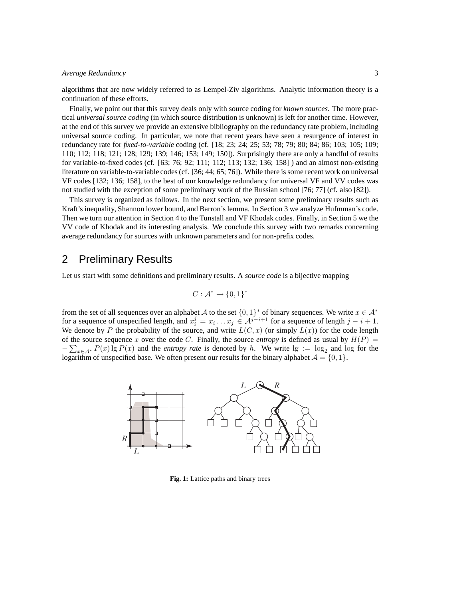algorithms that are now widely referred to as Lempel-Ziv algorithms. Analytic information theory is a continuation of these efforts.

Finally, we point out that this survey deals only with source coding for *known sources*. The more practical *universal source coding* (in which source distribution is unknown) is left for another time. However, at the end of this survey we provide an extensive bibliography on the redundancy rate problem, including universal source coding. In particular, we note that recent years have seen a resurgence of interest in redundancy rate for *fixed-to-variable* coding (cf. [18; 23; 24; 25; 53; 78; 79; 80; 84; 86; 103; 105; 109; 110; 112; 118; 121; 128; 129; 139; 146; 153; 149; 150]). Surprisingly there are only a handful of results for variable-to-fixed codes (cf. [63; 76; 92; 111; 112; 113; 132; 136; 158] ) and an almost non-existing literature on variable-to-variable codes (cf. [36; 44; 65; 76]). While there is some recent work on universal VF codes [132; 136; 158], to the best of our knowledge redundancy for universal VF and VV codes was not studied with the exception of some preliminary work of the Russian school [76; 77] (cf. also [82]).

This survey is organized as follows. In the next section, we present some preliminary results such as Kraft's inequality, Shannon lower bound, and Barron's lemma. In Section 3 we analyze Hufmman's code. Then we turn our attention in Section 4 to the Tunstall and VF Khodak codes. Finally, in Section 5 we the VV code of Khodak and its interesting analysis. We conclude this survey with two remarks concerning average redundancy for sources with unknown parameters and for non-prefix codes.

### 2 Preliminary Results

Let us start with some definitions and preliminary results. A *source code* is a bijective mapping

$$
C:\mathcal{A}^*\rightarrow \{0,1\}^*
$$

from the set of all sequences over an alphabet A to the set  $\{0,1\}^*$  of binary sequences. We write  $x \in A^*$ for a sequence of unspecified length, and  $x_i^j = x_i \dots x_j \in A^{j-i+1}$  for a sequence of length  $j - i + 1$ . We denote by P the probability of the source, and write  $L(C, x)$  (or simply  $L(x)$ ) for the code length of the source sequence x over the code C. Finally, the source *entropy* is defined as usual by  $H(P)$  =  $-\sum_{x\in A^*} P(x)$  lg  $P(x)$  and the *entropy rate* is denoted by h. We write  $\log := \log_2$  and  $\log$  for the logarithm of unspecified base. We often present our results for the binary alphabet  $\mathcal{A} = \{0, 1\}$ .



**Fig. 1:** Lattice paths and binary trees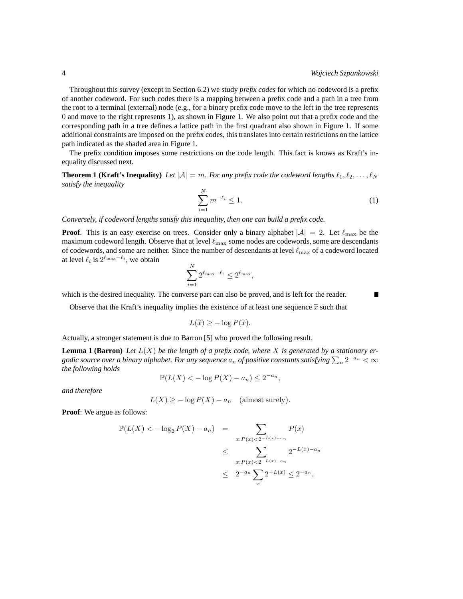П

Throughout this survey (except in Section 6.2) we study *prefix codes* for which no codeword is a prefix of another codeword. For such codes there is a mapping between a prefix code and a path in a tree from the root to a terminal (external) node (e.g., for a binary prefix code move to the left in the tree represents 0 and move to the right represents 1), as shown in Figure 1. We also point out that a prefix code and the corresponding path in a tree defines a lattice path in the first quadrant also shown in Figure 1. If some additional constraints are imposed on the prefix codes, this translates into certain restrictions on the lattice path indicated as the shaded area in Figure 1.

The prefix condition imposes some restrictions on the code length. This fact is knows as Kraft's inequality discussed next.

**Theorem 1 (Kraft's Inequality)** Let  $|\mathcal{A}| = m$ . For any prefix code the codeword lengths  $\ell_1, \ell_2, \ldots, \ell_N$ *satisfy the inequality*

$$
\sum_{i=1}^{N} m^{-\ell_i} \le 1. \tag{1}
$$

*Conversely, if codeword lengths satisfy this inequality, then one can build a prefix code.*

**Proof.** This is an easy exercise on trees. Consider only a binary alphabet  $|\mathcal{A}| = 2$ . Let  $\ell_{\text{max}}$  be the maximum codeword length. Observe that at level  $\ell_{\rm max}$  some nodes are codewords, some are descendants of codewords, and some are neither. Since the number of descendants at level  $\ell_{\rm max}$  of a codeword located at level  $\ell_i$  is  $2^{\ell_{\max}-\ell_i}$ , we obtain

$$
\sum_{i=1}^{N} 2^{\ell_{\max} - \ell_i} \leq 2^{\ell_{\max}},
$$

which is the desired inequality. The converse part can also be proved, and is left for the reader.

Observe that the Kraft's inequality implies the existence of at least one sequence  $\tilde{x}$  such that

$$
L(\widetilde{x}) \geq -\log P(\widetilde{x}).
$$

Actually, a stronger statement is due to Barron [5] who proved the following result.

**Lemma 1 (Barron)** Let  $L(X)$  be the length of a prefix code, where X is generated by a stationary ergodic source over a binary alphabet. For any sequence  $a_n$  of positive constants satisfying  $\sum_n 2^{-a_n} < \infty$ *the following holds*

$$
\mathbb{P}(L(X) < -\log P(X) - a_n) \le 2^{-a_n},
$$

*and therefore*

$$
L(X) \ge -\log P(X) - a_n \quad \text{(almost surely)}.
$$

**Proof**: We argue as follows:

$$
\mathbb{P}(L(X) < -\log_2 P(X) - a_n) = \sum_{x: P(x) < 2^{-L(x) - a_n}} P(x)
$$
\n
$$
\leq \sum_{x: P(x) < 2^{-L(x) - a_n}} 2^{-L(x) - a_n}
$$
\n
$$
\leq 2^{-a_n} \sum_{x} 2^{-L(x)} \leq 2^{-a_n}.
$$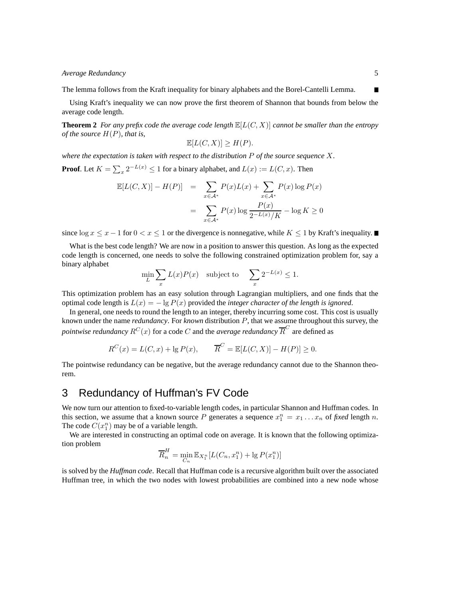The lemma follows from the Kraft inequality for binary alphabets and the Borel-Cantelli Lemma.

Using Kraft's inequality we can now prove the first theorem of Shannon that bounds from below the average code length.

**Theorem 2** *For any prefix code the average code length*  $\mathbb{E}[L(C, X)]$  *cannot be smaller than the entropy of the source* H(P)*, that is,*

$$
\mathbb{E}[L(C, X)] \ge H(P).
$$

*where the expectation is taken with respect to the distribution* P *of the source sequence* X*.*

**Proof**. Let  $K = \sum_{x} 2^{-L(x)} \le 1$  for a binary alphabet, and  $L(x) := L(C, x)$ . Then

$$
\mathbb{E}[L(C, X)] - H(P)] = \sum_{x \in A^*} P(x)L(x) + \sum_{x \in A^*} P(x) \log P(x)
$$

$$
= \sum_{x \in A^*} P(x) \log \frac{P(x)}{2^{-L(x)}/K} - \log K \ge 0
$$

since  $\log x \leq x - 1$  for  $0 < x \leq 1$  or the divergence is nonnegative, while  $K \leq 1$  by Kraft's inequality.

What is the best code length? We are now in a position to answer this question. As long as the expected code length is concerned, one needs to solve the following constrained optimization problem for, say a binary alphabet

$$
\min_L \sum_x L(x)P(x) \quad \text{subject to} \quad \sum_x 2^{-L(x)} \le 1.
$$

This optimization problem has an easy solution through Lagrangian multipliers, and one finds that the optimal code length is  $L(x) = -\lg P(x)$  provided the *integer character of the length is ignored*.

In general, one needs to round the length to an integer, thereby incurring some cost. This cost is usually known under the name *redundancy*. For *known* distribution P, that we assume throughout this survey, the  $\bar{p}$ *pointwise redundancy*  $R^C(x)$  *for a code*  $C$  *and the <i>average redundancy*  $\overline{R}^C$  *a*re defined as

$$
R^{C}(x) = L(C, x) + \lg P(x), \qquad \overline{R}^{C} = \mathbb{E}[L(C, X)] - H(P)] \ge 0.
$$

The pointwise redundancy can be negative, but the average redundancy cannot due to the Shannon theorem.

### 3 Redundancy of Huffman's FV Code

We now turn our attention to fixed-to-variable length codes, in particular Shannon and Huffman codes. In this section, we assume that a known source P generates a sequence  $x_1^n = x_1 \dots x_n$  of *fixed* length n. The code  $C(x_1^n)$  may be of a variable length.

We are interested in constructing an optimal code on average. It is known that the following optimization problem

$$
\overline{R}_n^H = \min_{C_n} \mathbb{E}_{X_1^n} [L(C_n, x_1^n) + \lg P(x_1^n)]
$$

is solved by the *Huffman code*. Recall that Huffman code is a recursive algorithm built over the associated Huffman tree, in which the two nodes with lowest probabilities are combined into a new node whose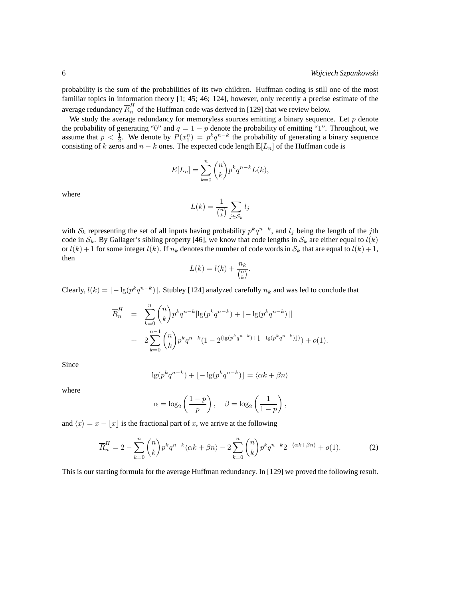probability is the sum of the probabilities of its two children. Huffman coding is still one of the most familiar topics in information theory [1; 45; 46; 124], however, only recently a precise estimate of the average redundancy  $\overline{R}_n^H$  of the Huffman code was derived in [129] that we review below.

We study the average redundancy for memoryless sources emitting a binary sequence. Let  $p$  denote the probability of generating "0" and  $q = 1 - p$  denote the probability of emitting "1". Throughout, we assume that  $p < \frac{1}{2}$ . We denote by  $P(x_1^n) = p^k q^{n-k}$  the probability of generating a binary sequence consisting of k zeros and  $n - k$  ones. The expected code length  $\mathbb{E}[L_n]$  of the Huffman code is

$$
E[L_n] = \sum_{k=0}^{n} \binom{n}{k} p^k q^{n-k} L(k),
$$

where

$$
L(k) = \frac{1}{\binom{n}{k}} \sum_{j \in S_k} l_j
$$

with  $S_k$  representing the set of all inputs having probability  $p^k q^{n-k}$ , and  $l_j$  being the length of the jth code in  $S_k$ . By Gallager's sibling property [46], we know that code lengths in  $S_k$  are either equal to  $l(k)$ or  $l(k) + 1$  for some integer  $l(k)$ . If  $n_k$  denotes the number of code words in  $S_k$  that are equal to  $l(k) + 1$ , then

$$
L(k) = l(k) + \frac{n_k}{\binom{n}{k}}.
$$

Clearly,  $l(k) = \lfloor -\lg(p^k q^{n-k}) \rfloor$ . Stubley [124] analyzed carefully  $n_k$  and was led to conclude that

$$
\overline{R}_n^H = \sum_{k=0}^n {n \choose k} p^k q^{n-k} [\lg(p^k q^{n-k}) + [-\lg(p^k q^{n-k})]]
$$
  
+ 
$$
2 \sum_{k=0}^{n-1} {n \choose k} p^k q^{n-k} (1 - 2^{(\lg(p^k q^{n-k}) + [-\lg(p^k q^{n-k})])}) + o(1).
$$

Since

$$
\lg(p^k q^{n-k}) + \lfloor -\lg(p^k q^{n-k}) \rfloor = \langle \alpha k + \beta n \rangle
$$

where

$$
\alpha = \log_2\left(\frac{1-p}{p}\right), \quad \beta = \log_2\left(\frac{1}{1-p}\right),
$$

and  $\langle x \rangle = x - \langle x \rangle$  is the fractional part of x, we arrive at the following

$$
\overline{R}_n^H = 2 - \sum_{k=0}^n \binom{n}{k} p^k q^{n-k} \langle \alpha k + \beta n \rangle - 2 \sum_{k=0}^n \binom{n}{k} p^k q^{n-k} 2^{-\langle \alpha k + \beta n \rangle} + o(1). \tag{2}
$$

This is our starting formula for the average Huffman redundancy. In [129] we proved the following result.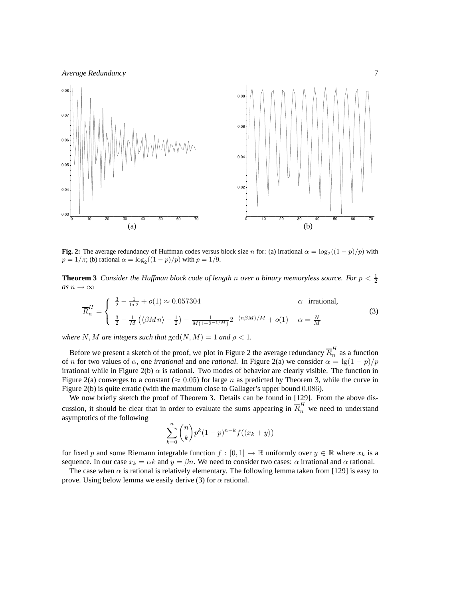

**Fig. 2:** The average redundancy of Huffman codes versus block size *n* for: (a) irrational  $\alpha = \log_2((1-p)/p)$  with  $p = 1/\pi$ ; (b) rational  $\alpha = \log_2((1-p)/p)$  with  $p = 1/9$ .

**Theorem 3** Consider the Huffman block code of length n over a binary memoryless source. For  $p < \frac{1}{2}$ *as*  $n \to \infty$ 

$$
\overline{R}_n^H = \begin{cases}\n\frac{3}{2} - \frac{1}{\ln 2} + o(1) \approx 0.057304 & \alpha \text{ irrational,} \\
\frac{3}{2} - \frac{1}{M} \left( \langle \beta M n \rangle - \frac{1}{2} \right) - \frac{1}{M(1 - 2^{-1/M})} 2^{-\langle n \beta M \rangle / M} + o(1) & \alpha = \frac{N}{M}\n\end{cases}
$$
\n(3)

*where* N, M are integers such that  $gcd(N, M) = 1$  and  $\rho < 1$ .

Before we present a sketch of the proof, we plot in Figure 2 the average redundancy  $\overline{R}_n^H$  $\frac{n}{n}$  as a function of n for two values of  $\alpha$ , one *irrational* and one *rational*. In Figure 2(a) we consider  $\alpha = \lg(1 - p)/p$ irrational while in Figure 2(b)  $\alpha$  is rational. Two modes of behavior are clearly visible. The function in Figure 2(a) converges to a constant ( $\approx 0.05$ ) for large n as predicted by Theorem 3, while the curve in Figure 2(b) is quite erratic (with the maximum close to Gallager's upper bound 0.086).

We now briefly sketch the proof of Theorem 3. Details can be found in [129]. From the above discussion, it should be clear that in order to evaluate the sums appearing in  $\overline{R}_n^H$  we need to understand asymptotics of the following

$$
\sum_{k=0}^{n} {n \choose k} p^{k} (1-p)^{n-k} f(\langle x_k + y \rangle)
$$

for fixed p and some Riemann integrable function  $f : [0, 1] \to \mathbb{R}$  uniformly over  $y \in \mathbb{R}$  where  $x_k$  is a sequence. In our case  $x_k = \alpha k$  and  $y = \beta n$ . We need to consider two cases:  $\alpha$  irrational and  $\alpha$  rational.

The case when  $\alpha$  is rational is relatively elementary. The following lemma taken from [129] is easy to prove. Using below lemma we easily derive (3) for  $\alpha$  rational.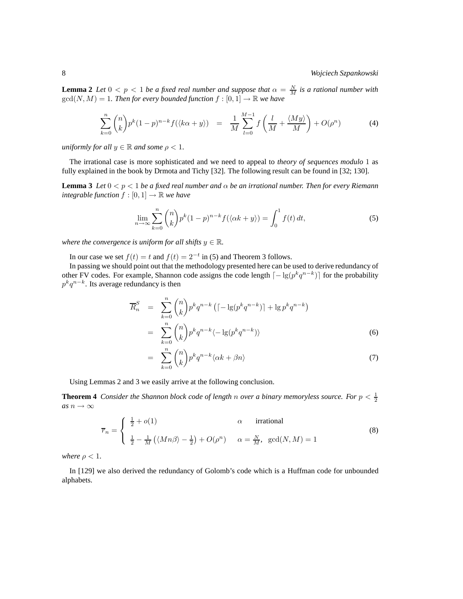**Lemma 2** *Let*  $0 < p < 1$  *be a fixed real number and suppose that*  $\alpha = \frac{N}{M}$  *is a rational number with*  $gcd(N, M) = 1$ *. Then for every bounded function*  $f : [0, 1] \rightarrow \mathbb{R}$  *we have* 

$$
\sum_{k=0}^{n} \binom{n}{k} p^k (1-p)^{n-k} f(\langle k\alpha + y \rangle) = \frac{1}{M} \sum_{l=0}^{M-1} f\left(\frac{l}{M} + \frac{\langle My \rangle}{M}\right) + O(\rho^n) \tag{4}
$$

*uniformly for all*  $y \in \mathbb{R}$  *and some*  $\rho < 1$ *.* 

The irrational case is more sophisticated and we need to appeal to *theory of sequences modulo* 1 as fully explained in the book by Drmota and Tichy [32]. The following result can be found in [32; 130].

**Lemma 3** *Let*  $0 < p < 1$  *be a fixed real number and*  $\alpha$  *be an irrational number. Then for every Riemann integrable function*  $f : [0, 1] \rightarrow \mathbb{R}$  *we have* 

$$
\lim_{n \to \infty} \sum_{k=0}^{n} {n \choose k} p^k (1-p)^{n-k} f(\langle \alpha k + y \rangle) = \int_0^1 f(t) dt,
$$
\n(5)

*where the convergence is uniform for all shifts*  $y \in \mathbb{R}$ *.* 

In our case we set  $f(t) = t$  and  $f(t) = 2^{-t}$  in (5) and Theorem 3 follows.

In passing we should point out that the methodology presented here can be used to derive redundancy of other FV codes. For example, Shannon code assigns the code length  $\lceil -\lg(p^kq^{n-k}) \rceil$  for the probability  $p^k q^{n-k}$ . Its average redundancy is then

$$
\overline{R}_n^S = \sum_{k=0}^n \binom{n}{k} p^k q^{n-k} \left( \left[ -\lg(p^k q^{n-k}) \right] + \lg p^k q^{n-k} \right)
$$

$$
= \sum_{k=0}^n \binom{n}{k} p^k q^{n-k} \langle -\lg(p^k q^{n-k}) \rangle \tag{6}
$$

$$
= \sum_{k=0}^{n} \binom{n}{k} p^k q^{n-k} \langle \alpha k + \beta n \rangle \tag{7}
$$

Using Lemmas 2 and 3 we easily arrive at the following conclusion.

**Theorem 4** Consider the Shannon block code of length n over a binary memoryless source. For  $p < \frac{1}{2}$ *as*  $n \to \infty$ 

$$
\overline{r}_n = \begin{cases} \frac{1}{2} + o(1) & \alpha \quad \text{irrational} \\ \frac{1}{2} - \frac{1}{M} \left( \langle Mn\beta \rangle - \frac{1}{2} \right) + O(\rho^n) & \alpha = \frac{N}{M}, \quad \gcd(N, M) = 1 \end{cases}
$$
(8)

*where*  $\rho < 1$ *.* 

In [129] we also derived the redundancy of Golomb's code which is a Huffman code for unbounded alphabets.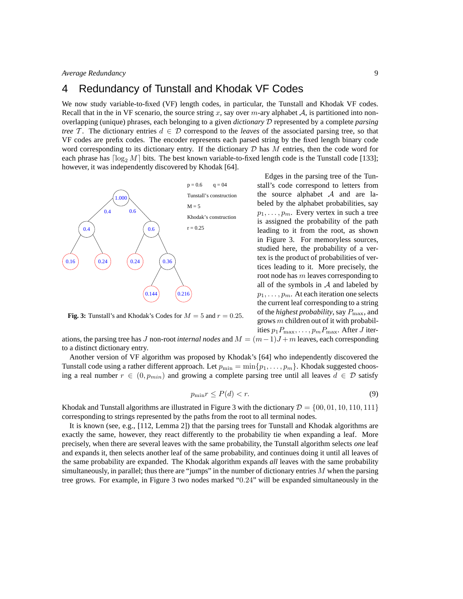### 4 Redundancy of Tunstall and Khodak VF Codes

We now study variable-to-fixed (VF) length codes, in particular, the Tunstall and Khodak VF codes. Recall that in the in VF scenario, the source string x, say over  $m$ -ary alphabet  $A$ , is partitioned into nonoverlapping (unique) phrases, each belonging to a given *dictionary* D represented by a complete *parsing tree* T. The dictionary entries  $d \in \mathcal{D}$  correspond to the *leaves* of the associated parsing tree, so that VF codes are prefix codes. The encoder represents each parsed string by the fixed length binary code word corresponding to its dictionary entry. If the dictionary  $D$  has  $M$  entries, then the code word for each phrase has  $\lceil \log_2 M \rceil$  bits. The best known variable-to-fixed length code is the Tunstall code [133]; however, it was independently discovered by Khodak [64].



**Fig. 3:** Tunstall's and Khodak's Codes for  $M = 5$  and  $r = 0.25$ .

Edges in the parsing tree of the Tunstall's code correspond to letters from the source alphabet  $A$  and are labeled by the alphabet probabilities, say  $p_1, \ldots, p_m$ . Every vertex in such a tree is assigned the probability of the path leading to it from the root, as shown in Figure 3. For memoryless sources, studied here, the probability of a vertex is the product of probabilities of vertices leading to it. More precisely, the root node has  $m$  leaves corresponding to all of the symbols in  $A$  and labeled by  $p_1, \ldots, p_m$ . At each iteration one selects the current leaf corresponding to a string of the *highest probability*, say  $P_{\text{max}}$ , and grows m children out of it with probabilities  $p_1P_{\text{max}}, \ldots, p_mP_{\text{max}}$ . After J iter-

ations, the parsing tree has J non-root *internal nodes* and  $M = (m-1)J + m$  leaves, each corresponding to a distinct dictionary entry.

Another version of VF algorithm was proposed by Khodak's [64] who independently discovered the Tunstall code using a rather different approach. Let  $p_{\min} = \min\{p_1, \ldots, p_m\}$ . Khodak suggested choosing a real number  $r \in (0, p_{min})$  and growing a complete parsing tree until all leaves  $d \in \mathcal{D}$  satisfy

$$
p_{\min} r \le P(d) < r. \tag{9}
$$

Khodak and Tunstall algorithms are illustrated in Figure 3 with the dictionary  $\mathcal{D} = \{00, 01, 10, 110, 111\}$ corresponding to strings represented by the paths from the root to all terminal nodes.

It is known (see, e.g., [112, Lemma 2]) that the parsing trees for Tunstall and Khodak algorithms are exactly the same, however, they react differently to the probability tie when expanding a leaf. More precisely, when there are several leaves with the same probability, the Tunstall algorithm selects *one* leaf and expands it, then selects another leaf of the same probability, and continues doing it until all leaves of the same probability are expanded. The Khodak algorithm expands *all* leaves with the same probability simultaneously, in parallel; thus there are "jumps" in the number of dictionary entries  $M$  when the parsing tree grows. For example, in Figure 3 two nodes marked "0.24" will be expanded simultaneously in the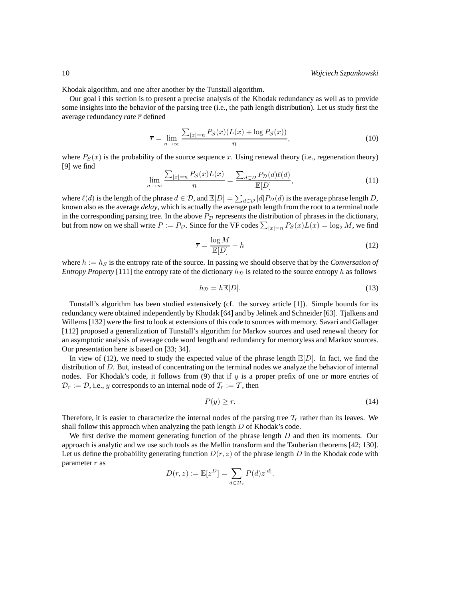Khodak algorithm, and one after another by the Tunstall algorithm.

Our goal i this section is to present a precise analysis of the Khodak redundancy as well as to provide some insights into the behavior of the parsing tree (i.e., the path length distribution). Let us study first the average redundancy *rate*  $\bar{r}$  defined

$$
\overline{r} = \lim_{n \to \infty} \frac{\sum_{|x|=n} P_{\mathcal{S}}(x) (L(x) + \log P_{\mathcal{S}}(x))}{n},\tag{10}
$$

where  $P_S(x)$  is the probability of the source sequence x. Using renewal theory (i.e., regeneration theory) [9] we find

$$
\lim_{n \to \infty} \frac{\sum_{|x|=n} P_{\mathcal{S}}(x) L(x)}{n} = \frac{\sum_{d \in \mathcal{D}} P_{\mathcal{D}}(d) \ell(d)}{\mathbb{E}[D]},\tag{11}
$$

where  $\ell(d)$  is the length of the phrase  $d \in \mathcal{D}$ , and  $\mathbb{E}[D] = \sum_{d \in \mathcal{D}} |d| P_{\mathcal{D}}(d)$  is the average phrase length D, known also as the average *delay*, which is actually the average path length from the root to a terminal node in the corresponding parsing tree. In the above  $P<sub>D</sub>$  represents the distribution of phrases in the dictionary, but from now on we shall write  $P := P_{\mathcal{D}}$ . Since for the VF codes  $\sum_{|x|=n} P_{\mathcal{S}}(x)L(x) = \log_2 M$ , we find

$$
\overline{r} = \frac{\log M}{\mathbb{E}[D]} - h \tag{12}
$$

where  $h := h<sub>S</sub>$  is the entropy rate of the source. In passing we should observe that by the *Conversation of Entropy Property* [111] the entropy rate of the dictionary  $h<sub>D</sub>$  is related to the source entropy h as follows

$$
h_{\mathcal{D}} = h\mathbb{E}[D].\tag{13}
$$

Tunstall's algorithm has been studied extensively (cf. the survey article [1]). Simple bounds for its redundancy were obtained independently by Khodak [64] and by Jelinek and Schneider [63]. Tjalkens and Willems [132] were the first to look at extensions of this code to sources with memory. Savari and Gallager [112] proposed a generalization of Tunstall's algorithm for Markov sources and used renewal theory for an asymptotic analysis of average code word length and redundancy for memoryless and Markov sources. Our presentation here is based on [33; 34].

In view of (12), we need to study the expected value of the phrase length  $\mathbb{E}[D]$ . In fact, we find the distribution of D. But, instead of concentrating on the terminal nodes we analyze the behavior of internal nodes. For Khodak's code, it follows from (9) that if y is a proper prefix of one or more entries of  $\mathcal{D}_r := \mathcal{D}$ , i.e., y corresponds to an internal node of  $\mathcal{T}_r := \mathcal{T}$ , then

$$
P(y) \ge r. \tag{14}
$$

Therefore, it is easier to characterize the internal nodes of the parsing tree  $\mathcal{T}_r$  rather than its leaves. We shall follow this approach when analyzing the path length  $D$  of Khodak's code.

We first derive the moment generating function of the phrase length  $D$  and then its moments. Our approach is analytic and we use such tools as the Mellin transform and the Tauberian theorems [42; 130]. Let us define the probability generating function  $D(r, z)$  of the phrase length D in the Khodak code with parameter  $r$  as

$$
D(r, z) := \mathbb{E}[z^D] = \sum_{d \in \mathcal{D}_r} P(d) z^{|d|}.
$$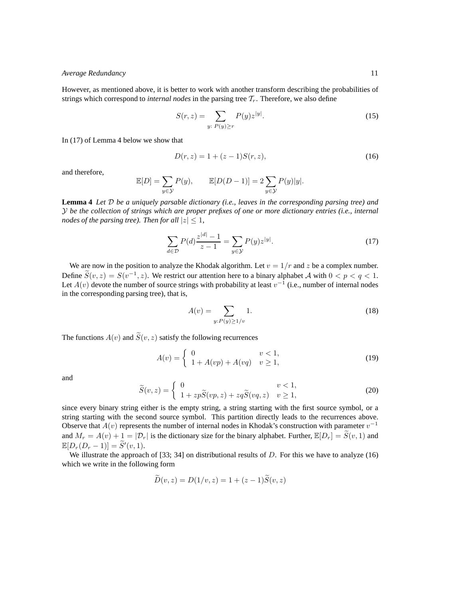However, as mentioned above, it is better to work with another transform describing the probabilities of strings which correspond to *internal nodes* in the parsing tree  $\mathcal{T}_r$ . Therefore, we also define

$$
S(r,z) = \sum_{y:\ P(y)\ge r} P(y) z^{|y|}.
$$
 (15)

In (17) of Lemma 4 below we show that

$$
D(r, z) = 1 + (z - 1)S(r, z),
$$
\n(16)

and therefore,

$$
\mathbb{E}[D] = \sum_{y \in \mathcal{Y}} P(y), \qquad \mathbb{E}[D(D-1)] = 2 \sum_{y \in \mathcal{Y}} P(y)|y|.
$$

**Lemma 4** *Let* D *be a uniquely parsable dictionary (i.e., leaves in the corresponding parsing tree) and* Y *be the collection of strings which are proper prefixes of one or more dictionary entries (i.e., internal nodes of the parsing tree). Then for all*  $|z| \leq 1$ ,

$$
\sum_{d \in \mathcal{D}} P(d) \frac{z^{|d|} - 1}{z - 1} = \sum_{y \in \mathcal{Y}} P(y) z^{|y|}.
$$
 (17)

We are now in the position to analyze the Khodak algorithm. Let  $v = 1/r$  and z be a complex number. Define  $\widetilde{S}(v, z) = S(v^{-1}, z)$ . We restrict our attention here to a binary alphabet A with  $0 < p < q < 1$ . Let  $A(v)$  devote the number of source strings with probability at least  $v^{-1}$  (i.e., number of internal nodes in the corresponding parsing tree), that is,

$$
A(v) = \sum_{y: P(y) \ge 1/v} 1.
$$
 (18)

The functions  $A(v)$  and  $\widetilde{S}(v, z)$  satisfy the following recurrences

$$
A(v) = \begin{cases} 0 & v < 1, \\ 1 + A(vp) + A(vq) & v \ge 1, \end{cases}
$$
 (19)

and

$$
\widetilde{S}(v,z) = \begin{cases}\n0 & v < 1, \\
1 + zp\widetilde{S}(vp,z) + zq\widetilde{S}(vq,z) & v \ge 1,\n\end{cases}
$$
\n(20)

since every binary string either is the empty string, a string starting with the first source symbol, or a string starting with the second source symbol. This partition directly leads to the recurrences above. Observe that  $A(v)$  represents the number of internal nodes in Khodak's construction with parameter  $v^{-1}$ and  $M_r = A(v) + 1 = |\mathcal{D}_r|$  is the dictionary size for the binary alphabet. Further,  $\mathbb{E}[D_r] = \widetilde{S}(v, 1)$  and  $\mathbb{E}[D_r(D_r-1)] = \widetilde{S}'(v,1).$ 

We illustrate the approach of [33; 34] on distributional results of D. For this we have to analyze (16) which we write in the following form

$$
D(v, z) = D(1/v, z) = 1 + (z - 1)\tilde{S}(v, z)
$$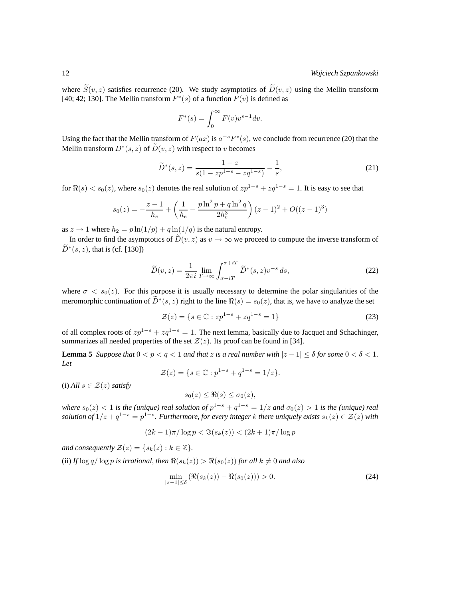where  $\widetilde{S}(v, z)$  satisfies recurrence (20). We study asymptotics of  $\widetilde{D}(v, z)$  using the Mellin transform [40; 42; 130]. The Mellin transform  $F^*(s)$  of a function  $F(v)$  is defined as

$$
F^*(s) = \int_0^\infty F(v)v^{s-1}dv.
$$

Using the fact that the Mellin transform of  $F(ax)$  is  $a^{-s}F^*(s)$ , we conclude from recurrence (20) that the Mellin transform  $D^*(s, z)$  of  $\overline{D}(v, z)$  with respect to v becomes

$$
\widetilde{D}^*(s,z) = \frac{1-z}{s(1-zp^{1-s}-zq^{1-s})} - \frac{1}{s},\tag{21}
$$

for  $\Re(s) < s_0(z)$ , where  $s_0(z)$  denotes the real solution of  $zp^{1-s} + zq^{1-s} = 1$ . It is easy to see that

$$
s_0(z) = -\frac{z-1}{h_e} + \left(\frac{1}{h_e} - \frac{p\ln^2 p + q\ln^2 q}{2h_e^3}\right)(z-1)^2 + O((z-1)^3)
$$

as  $z \to 1$  where  $h_2 = p \ln(1/p) + q \ln(1/q)$  is the natural entropy.

In order to find the asymptotics of  $\widetilde{D}(v, z)$  as  $v \to \infty$  we proceed to compute the inverse transform of  $\widetilde{D}^*(s, z)$ , that is (cf. [130])

$$
\widetilde{D}(v,z) = \frac{1}{2\pi i} \lim_{T \to \infty} \int_{\sigma - iT}^{\sigma + iT} \widetilde{D}^*(s,z) v^{-s} ds,
$$
\n(22)

where  $\sigma < s_0(z)$ . For this purpose it is usually necessary to determine the polar singularities of the meromorphic continuation of  $\tilde{D}^*(s, z)$  right to the line  $\Re(s) = s_0(z)$ , that is, we have to analyze the set

$$
\mathcal{Z}(z) = \{ s \in \mathbb{C} : z p^{1-s} + z q^{1-s} = 1 \}
$$
 (23)

of all complex roots of  $zp^{1-s} + zq^{1-s} = 1$ . The next lemma, basically due to Jacquet and Schachinger, summarizes all needed properties of the set  $\mathcal{Z}(z)$ . Its proof can be found in [34].

**Lemma 5** *Suppose that*  $0 < p < q < 1$  *and that* z *is a real number with*  $|z - 1| \le \delta$  *for some*  $0 < \delta < 1$ *. Let*

$$
\mathcal{Z}(z) = \{ s \in \mathbb{C} : p^{1-s} + q^{1-s} = 1/z \}.
$$

(i) *All*  $s \in \mathcal{Z}(z)$  *satisfy* 

$$
s_0(z) \leq \Re(s) \leq \sigma_0(z),
$$

*where*  $s_0(z) < 1$  *is the (unique) real solution of*  $p^{1-s} + q^{1-s} = 1/z$  *and*  $\sigma_0(z) > 1$  *is the (unique) real solution of*  $1/z + q^{1-s} = p^{1-s}$ . Furthermore, for every integer k there uniquely exists  $s_k(z) \in \mathcal{Z}(z)$  with

$$
(2k-1)\pi/\log p < \Im(s_k(z)) < (2k+1)\pi/\log p
$$

*and consequently*  $\mathcal{Z}(z) = \{s_k(z) : k \in \mathbb{Z}\}.$ 

(ii) *If*  $\log q / \log p$  *is irrational, then*  $\Re(s_k(z)) > \Re(s_0(z))$  *for all*  $k \neq 0$  *and also* 

$$
\min_{|z-1| \leq \delta} \left( \Re(s_k(z)) - \Re(s_0(z)) \right) > 0. \tag{24}
$$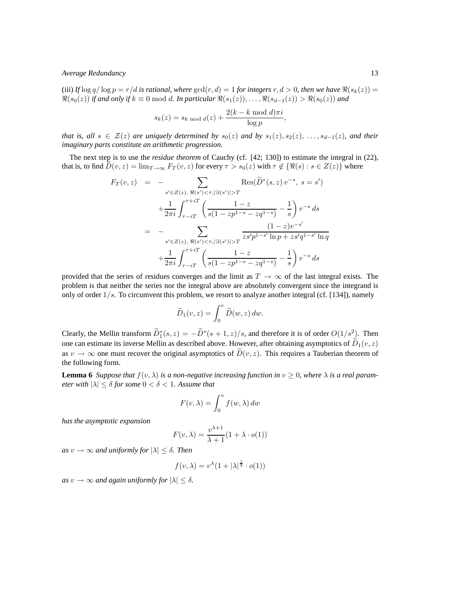(iii) If  $\log q / \log p = r/d$  *is rational, where*  $\gcd(r, d) = 1$  *for integers*  $r, d > 0$ *, then we have*  $\Re(s_k(z)) =$  $\Re(s_0(z))$  *if and only if*  $k \equiv 0 \mod d$ . In particular  $\Re(s_1(z)), \ldots, \Re(s_{d-1}(z)) > \Re(s_0(z))$  and

$$
s_k(z) = s_{k \mod d}(z) + \frac{2(k - k \mod d)\pi i}{\log p},
$$

*that is, all*  $s \in \mathcal{Z}(z)$  *are uniquely determined by*  $s_0(z)$  *and by*  $s_1(z), s_2(z), \ldots, s_{d-1}(z)$ *, and their imaginary parts constitute an arithmetic progression.*

The next step is to use the *residue theorem* of Cauchy (cf. [42; 130]) to estimate the integral in (22), that is, to find  $\tilde{D}(v, z) = \lim_{T \to \infty} F_T(v, z)$  for every  $\tau > s_0(z)$  with  $\tau \notin {\Re(s) : s \in Z(z)}$  where

$$
F_T(v, z) = - \sum_{s' \in Z(z), \ \Re(s') < \tau, |\Im(s')| > T} \text{Res}(\widetilde{D}^*(s, z) v^{-s}, \ s = s') + \frac{1}{2\pi i} \int_{\tau - iT}^{\tau + iT} \left( \frac{1 - z}{s(1 - z p^{1 - s} - z q^{1 - s})} - \frac{1}{s} \right) v^{-s} ds = - \sum_{s' \in Z(z), \ \Re(s') < \tau, |\Im(s')| > T} \frac{(1 - z) v^{-s'}}{z s' p^{1 - s'} \ln p + z s' q^{1 - s'} \ln q} + \frac{1}{2\pi i} \int_{\tau - iT}^{\tau + iT} \left( \frac{1 - z}{s(1 - z p^{1 - s} - z q^{1 - s})} - \frac{1}{s} \right) v^{-s} ds
$$

provided that the series of residues converges and the limit as  $T \to \infty$  of the last integral exists. The problem is that neither the series nor the integral above are absolutely convergent since the integrand is only of order  $1/s$ . To circumvent this problem, we resort to analyze another integral (cf. [134]), namely

$$
\widetilde{D}_1(v,z) = \int_0^v \widetilde{D}(w,z) \, dw.
$$

Clearly, the Mellin transform  $\overline{D}_1^*(s, z) = -\overline{D}^*(s+1, z)/s$ , and therefore it is of order  $O(1/s^2)$ . Then one can estimate its inverse Mellin as described above. However, after obtaining asymptotics of  $\widetilde{D}_1(v, z)$ as  $v \to \infty$  one must recover the original asymptotics of  $\tilde{D}(v, z)$ . This requires a Tauberian theorem of the following form.

**Lemma 6** *Suppose that*  $f(v, \lambda)$  *is a non-negative increasing function in*  $v > 0$ *, where*  $\lambda$  *is a real parameter with*  $|\lambda| \leq \delta$  *for some*  $0 < \delta < 1$ *. Assume that* 

$$
F(v,\lambda) = \int_0^v f(w,\lambda) \, dw
$$

*has the asymptotic expansion*

$$
F(v,\lambda) = \frac{v^{\lambda+1}}{\lambda+1} (1 + \lambda \cdot o(1))
$$

*as*  $v \to \infty$  *and uniformly for*  $|\lambda| \leq \delta$ *. Then* 

$$
f(v, \lambda) = v^{\lambda} (1 + |\lambda|^{\frac{1}{2}} \cdot o(1))
$$

*as*  $v \to \infty$  *and again uniformly for*  $|\lambda| \leq \delta$ .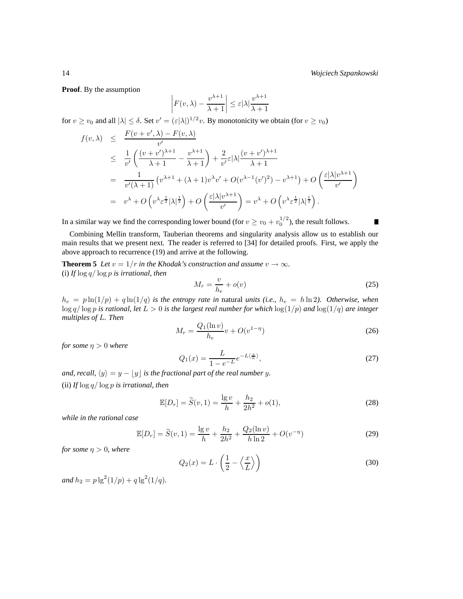**Proof**. By the assumption

$$
F(v,\lambda) - \frac{v^{\lambda+1}}{\lambda+1} \le \varepsilon |\lambda| \frac{v^{\lambda+1}}{\lambda+1}
$$

for  $v \ge v_0$  and all  $|\lambda| \le \delta$ . Set  $v' = (\varepsilon |\lambda|)^{1/2}v$ . By monotonicity we obtain (for  $v \ge v_0$ )

 $\overline{\phantom{a}}$  $\overline{\phantom{a}}$  $\overline{\phantom{a}}$  $\overline{\phantom{a}}$ 

$$
f(v, \lambda) \leq \frac{F(v + v', \lambda) - F(v, \lambda)}{v'}
$$
  
\n
$$
\leq \frac{1}{v'} \left( \frac{(v + v')^{\lambda+1}}{\lambda + 1} - \frac{v^{\lambda+1}}{\lambda + 1} \right) + \frac{2}{v'} \varepsilon |\lambda| \frac{(v + v')^{\lambda+1}}{\lambda + 1}
$$
  
\n
$$
= \frac{1}{v'(\lambda + 1)} \left( v^{\lambda+1} + (\lambda + 1)v^{\lambda}v' + O(v^{\lambda-1}(v')^2) - v^{\lambda+1} \right) + O\left( \frac{\varepsilon |\lambda| v^{\lambda+1}}{v'} \right)
$$
  
\n
$$
= v^{\lambda} + O\left( v^{\lambda} \varepsilon^{\frac{1}{2}} |\lambda|^{\frac{1}{2}} \right) + O\left( \frac{\varepsilon |\lambda| v^{\lambda+1}}{v'} \right) = v^{\lambda} + O\left( v^{\lambda} \varepsilon^{\frac{1}{2}} |\lambda|^{\frac{1}{2}} \right).
$$

In a similar way we find the corresponding lower bound (for  $v \ge v_0 + v_0^{1/2}$ ), the result follows.

ш

Combining Mellin transform, Tauberian theorems and singularity analysis allow us to establish our main results that we present next. The reader is referred to [34] for detailed proofs. First, we apply the above approach to recurrence (19) and arrive at the following.

**Theorem 5** *Let*  $v = 1/r$  *in the Khodak's construction and assume*  $v \rightarrow \infty$ *.* (i) *If* log q/ log p *is irrational, then*

$$
M_r = \frac{v}{h_e} + o(v) \tag{25}
$$

 $h_e = p \ln(1/p) + q \ln(1/q)$  *is the entropy rate in natural units (i.e.,*  $h_e = h \ln 2$ ). Otherwise, when log q/ log p *is rational, let* L > 0 *is the largest real number for which* log(1/p) *and* log(1/q) *are integer multiples of* L*. Then*

$$
M_r = \frac{Q_1(\ln v)}{h_e} v + O(v^{1-\eta})
$$
\n(26)

*for some*  $\eta > 0$  *where* 

$$
Q_1(x) = \frac{L}{1 - e^{-L}} e^{-L\langle \frac{x}{L} \rangle},\tag{27}
$$

*and, recall,*  $\langle y \rangle = y - \lfloor y \rfloor$  *is the fractional part of the real number* y. (ii) *If* log q/ log p *is irrational, then*

$$
\mathbb{E}[D_r] = \tilde{S}(v, 1) = \frac{\lg v}{h} + \frac{h_2}{2h^2} + o(1),\tag{28}
$$

*while in the rational case*

$$
\mathbb{E}[D_r] = \widetilde{S}(v, 1) = \frac{\lg v}{h} + \frac{h_2}{2h^2} + \frac{Q_2(\ln v)}{h \ln 2} + O(v^{-\eta})
$$
\n(29)

*for some*  $\eta > 0$ *, where* 

$$
Q_2(x) = L \cdot \left(\frac{1}{2} - \left\langle \frac{x}{L} \right\rangle\right) \tag{30}
$$

 $and h_2 = p \lg^2(1/p) + q \lg^2(1/q).$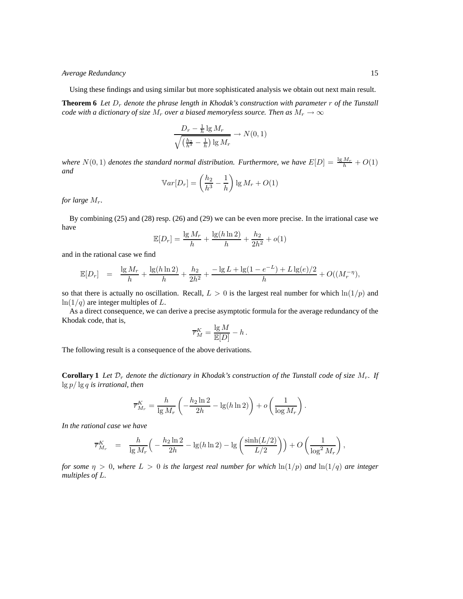Using these findings and using similar but more sophisticated analysis we obtain out next main result.

**Theorem 6** Let  $D_r$  denote the phrase length in Khodak's construction with parameter  $r$  of the Tunstall *code with a dictionary of size*  $M_r$  *over a biased memoryless source. Then as*  $M_r \to \infty$ 

$$
\frac{D_r - \frac{1}{h} \lg M_r}{\sqrt{\left(\frac{h_2}{h^3} - \frac{1}{h}\right) \lg M_r}} \to N(0, 1)
$$

*where*  $N(0, 1)$  *denotes the standard normal distribution. Furthermore, we have*  $E[D] = \frac{\lg M_r}{h} + O(1)$ *and*

$$
\mathbb{V}ar[D_r] = \left(\frac{h_2}{h^3} - \frac{1}{h}\right) \lg M_r + O(1)
$$

*for large* Mr*.*

By combining (25) and (28) resp. (26) and (29) we can be even more precise. In the irrational case we have

$$
\mathbb{E}[D_r] = \frac{\lg M_r}{h} + \frac{\lg(h \ln 2)}{h} + \frac{h_2}{2h^2} + o(1)
$$

and in the rational case we find

$$
\mathbb{E}[D_r] = \frac{\lg M_r}{h} + \frac{\lg(h \ln 2)}{h} + \frac{h_2}{2h^2} + \frac{-\lg L + \lg(1 - e^{-L}) + L \lg(e)/2}{h} + O((M_r^{-\eta}),
$$

so that there is actually no oscillation. Recall,  $L > 0$  is the largest real number for which  $\ln(1/p)$  and  $ln(1/q)$  are integer multiples of L.

As a direct consequence, we can derive a precise asymptotic formula for the average redundancy of the Khodak code, that is,

$$
\overline{r}_{M}^{K} = \frac{\lg M}{\mathbb{E}[D]} - h.
$$

The following result is a consequence of the above derivations.

**Corollary 1** Let  $\mathcal{D}_r$  denote the dictionary in Khodak's construction of the Tunstall code of size  $M_r$ . If lg p/ lg q *is irrational, then*

$$
\overline{r}^K_{M_r} = \frac{h}{\lg M_r} \left( -\frac{h_2 \ln 2}{2h} - \lg(h \ln 2) \right) + o\left( \frac{1}{\log M_r} \right).
$$

*In the rational case we have*

$$
\overline{r}_{M_r}^K = \frac{h}{\lg M_r} \Big( -\frac{h_2 \ln 2}{2h} - \lg(h \ln 2) - \lg \left( \frac{\sinh(L/2)}{L/2} \right) \Big) + O\left( \frac{1}{\log^2 M_r} \right),
$$

*for some*  $\eta > 0$ *, where*  $L > 0$  *is the largest real number for which*  $\ln(1/p)$  *and*  $\ln(1/q)$  *are integer multiples of* L*.*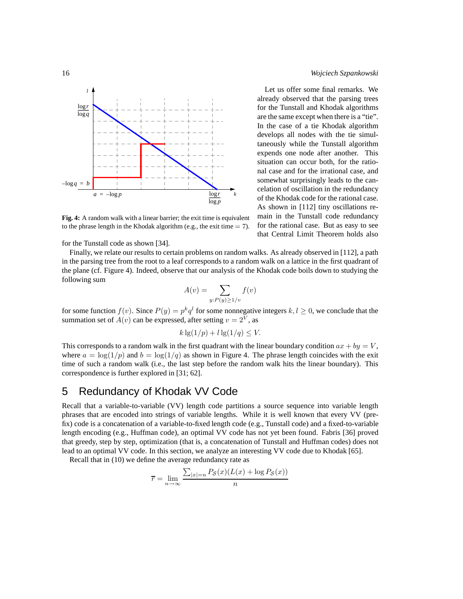

**Fig. 4:** A random walk with a linear barrier; the exit time is equivalent to the phrase length in the Khodak algorithm (e.g., the exit time  $= 7$ ).

for the Tunstall code as shown [34].

Finally, we relate our results to certain problems on random walks. As already observed in [112], a path in the parsing tree from the root to a leaf corresponds to a random walk on a lattice in the first quadrant of the plane (cf. Figure 4). Indeed, observe that our analysis of the Khodak code boils down to studying the following sum

$$
A(v) = \sum_{y:P(y)\ge 1/v} f(v)
$$

for some function  $f(v)$ . Since  $P(y) = p^k q^l$  for some nonnegative integers  $k, l \ge 0$ , we conclude that the summation set of  $A(v)$  can be expressed, after setting  $v = 2^V$ , as

$$
k\lg(1/p) + l\lg(1/q) \le V.
$$

This corresponds to a random walk in the first quadrant with the linear boundary condition  $ax + by = V$ , where  $a = \log(1/p)$  and  $b = \log(1/q)$  as shown in Figure 4. The phrase length coincides with the exit time of such a random walk (i.e., the last step before the random walk hits the linear boundary). This correspondence is further explored in [31; 62].

## 5 Redundancy of Khodak VV Code

Recall that a variable-to-variable (VV) length code partitions a source sequence into variable length phrases that are encoded into strings of variable lengths. While it is well known that every VV (prefix) code is a concatenation of a variable-to-fixed length code (e.g., Tunstall code) and a fixed-to-variable length encoding (e.g., Huffman code), an optimal VV code has not yet been found. Fabris [36] proved that greedy, step by step, optimization (that is, a concatenation of Tunstall and Huffman codes) does not lead to an optimal VV code. In this section, we analyze an interesting VV code due to Khodak [65].

Recall that in (10) we define the average redundancy rate as

$$
\overline{r} = \lim_{n \to \infty} \frac{\sum_{|x|=n} P_{\mathcal{S}}(x)(L(x) + \log P_{\mathcal{S}}(x))}{n}
$$

Let us offer some final remarks. We already observed that the parsing trees for the Tunstall and Khodak algorithms are the same except when there is a "tie". In the case of a tie Khodak algorithm develops all nodes with the tie simultaneously while the Tunstall algorithm expends one node after another. This situation can occur both, for the rational case and for the irrational case, and somewhat surprisingly leads to the cancelation of oscillation in the redundancy of the Khodak code for the rational case. As shown in [112] tiny oscillations remain in the Tunstall code redundancy for the rational case. But as easy to see that Central Limit Theorem holds also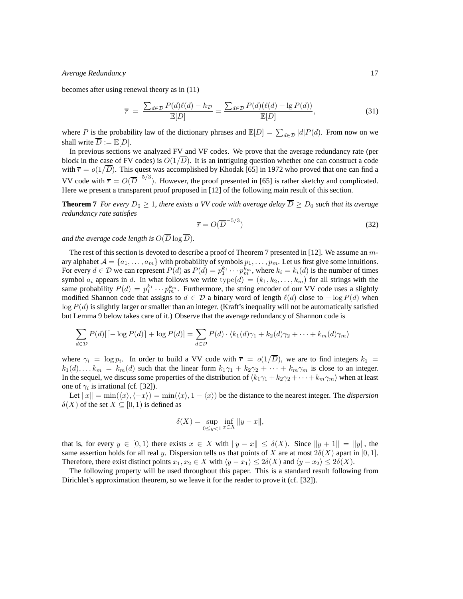becomes after using renewal theory as in (11)

$$
\overline{r} = \frac{\sum_{d \in \mathcal{D}} P(d)\ell(d) - h_{\mathcal{D}}}{\mathbb{E}[D]} = \frac{\sum_{d \in \mathcal{D}} P(d)(\ell(d) + \lg P(d))}{\mathbb{E}[D]},\tag{31}
$$

where P is the probability law of the dictionary phrases and  $\mathbb{E}[D] = \sum_{d \in \mathcal{D}} |d| P(d)$ . From now on we shall write  $\overline{D} := \mathbb{E}[D]$ .

In previous sections we analyzed FV and VF codes. We prove that the average redundancy rate (per block in the case of FV codes) is  $O(1/\overline{D})$ . It is an intriguing question whether one can construct a code with  $\bar{r} = o(1/\bar{D})$ . This quest was accomplished by Khodak [65] in 1972 who proved that one can find a VV code with  $\bar{r} = O(\overline{D}^{-5/3})$ . However, the proof presented in [65] is rather sketchy and complicated. Here we present a transparent proof proposed in [12] of the following main result of this section.

**Theorem 7** *For every*  $D_0 \geq 1$ *, there exists a VV code with average delay*  $\overline{D} \geq D_0$  *such that its average redundancy rate satisfies*

$$
\overline{r} = O(\overline{D}^{-5/3})
$$
\n(32)

*and the average code length is*  $O(\overline{D} \log \overline{D})$ *.* 

The rest of this section is devoted to describe a proof of Theorem 7 presented in [12]. We assume an mary alphabet  $A = \{a_1, \ldots, a_m\}$  with probability of symbols  $p_1, \ldots, p_m$ . Let us first give some intuitions. For every  $d \in \mathcal{D}$  we can represent  $P(d)$  as  $P(d) = p_1^{k_1} \cdots p_m^{k_m}$ , where  $k_i = k_i(d)$  is the number of times symbol  $a_i$  appears in d. In what follows we write  $type(d) = (k_1, k_2, \ldots, k_m)$  for all strings with the same probability  $P(d) = p_1^{k_1} \cdots p_m^{k_m}$ . Furthermore, the string encoder of our VV code uses a slightly modified Shannon code that assigns to  $d \in \mathcal{D}$  a binary word of length  $\ell(d)$  close to  $-\log P(d)$  when  $log P(d)$  is slightly larger or smaller than an integer. (Kraft's inequality will not be automatically satisfied but Lemma 9 below takes care of it.) Observe that the average redundancy of Shannon code is

$$
\sum_{d \in \mathcal{D}} P(d)[\lceil -\log P(d) \rceil + \log P(d)] = \sum_{d \in \mathcal{D}} P(d) \cdot \langle k_1(d)\gamma_1 + k_2(d)\gamma_2 + \dots + k_m(d)\gamma_m \rangle
$$

where  $\gamma_i = \log p_i$ . In order to build a VV code with  $\bar{r} = o(1/\bar{D})$ , we are to find integers  $k_1 =$  $k_1(d), \ldots k_m = k_m(d)$  such that the linear form  $k_1\gamma_1 + k_2\gamma_2 + \cdots + k_m\gamma_m$  is close to an integer. In the sequel, we discuss some properties of the distribution of  $\langle k_1\gamma_1 + k_2\gamma_2 + \cdots + k_m\gamma_m \rangle$  when at least one of  $\gamma_i$  is irrational (cf. [32]).

Let  $||x|| = \min(\langle x \rangle, \langle -x \rangle) = \min(\langle x \rangle, 1 - \langle x \rangle)$  be the distance to the nearest integer. The *dispersion*  $\delta(X)$  of the set  $X \subseteq [0,1)$  is defined as

$$
\delta(X) = \sup_{0 \le y < 1} \inf_{x \in X} \|y - x\|,
$$

that is, for every  $y \in [0,1)$  there exists  $x \in X$  with  $||y - x|| \leq \delta(X)$ . Since  $||y + 1|| = ||y||$ , the same assertion holds for all real y. Dispersion tells us that points of X are at most  $2\delta(X)$  apart in [0, 1]. Therefore, there exist distinct points  $x_1, x_2 \in X$  with  $\langle y - x_1 \rangle \leq 2\delta(X)$  and  $\langle y - x_2 \rangle \leq 2\delta(X)$ .

The following property will be used throughout this paper. This is a standard result following from Dirichlet's approximation theorem, so we leave it for the reader to prove it (cf. [32]).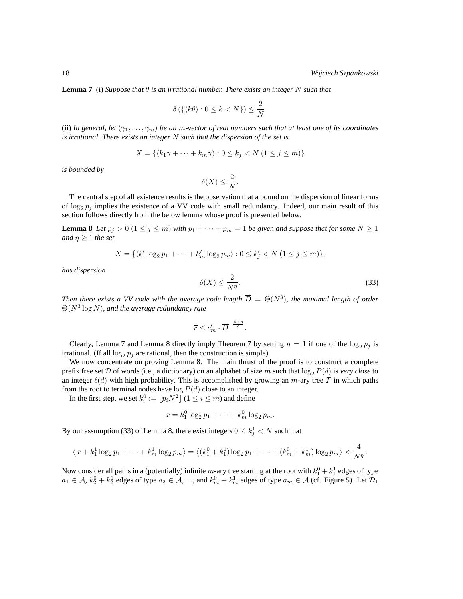**Lemma 7** (i) *Suppose that* θ *is an irrational number. There exists an integer* N *such that*

$$
\delta\left(\left\{\langle k\theta\rangle:0\leq k\lt N\right\}\right)\leq\frac{2}{N}.
$$

(ii) In general, let  $(\gamma_1, \ldots, \gamma_m)$  be an m-vector of real numbers such that at least one of its coordinates *is irrational. There exists an integer* N *such that the dispersion of the set is*

$$
X = \{ \langle k_1 \gamma + \dots + k_m \gamma \rangle : 0 \le k_j < N \ (1 \le j \le m) \}
$$

*is bounded by*

$$
\delta(X) \le \frac{2}{N}.
$$

The central step of all existence results is the observation that a bound on the dispersion of linear forms of  $\log_2 p_j$  implies the existence of a VV code with small redundancy. Indeed, our main result of this section follows directly from the below lemma whose proof is presented below.

**Lemma 8** *Let*  $p_j > 0$   $(1 \le j \le m)$  *with*  $p_1 + \cdots + p_m = 1$  *be given and suppose that for some*  $N \ge 1$ *and*  $\eta \geq 1$  *the set* 

$$
X = \{ \langle k_1' \log_2 p_1 + \dots + k_m' \log_2 p_m \rangle : 0 \le k_j' < N \ (1 \le j \le m) \},
$$

*has dispersion*

$$
\delta(X) \le \frac{2}{N^{\eta}}.\tag{33}
$$

*Then there exists a VV code with the average code length*  $\overline{D} = \Theta(N^3)$ , the maximal length of order Θ(N<sup>3</sup> log N)*, and the average redundancy rate*

$$
\overline{r} \leq c'_m \cdot \overline{D}^{-\frac{4+\eta}{3}}.
$$

Clearly, Lemma 7 and Lemma 8 directly imply Theorem 7 by setting  $\eta = 1$  if one of the  $\log_2 p_j$  is irrational. (If all  $\log_2 p_j$  are rational, then the construction is simple).

We now concentrate on proving Lemma 8. The main thrust of the proof is to construct a complete prefix free set D of words (i.e., a dictionary) on an alphabet of size m such that  $\log_2 P(d)$  is *very close* to an integer  $\ell(d)$  with high probability. This is accomplished by growing an m-ary tree T in which paths from the root to terminal nodes have  $log P(d)$  close to an integer.

In the first step, we set  $k_i^0 := \lfloor p_i N^2 \rfloor$   $(1 \le i \le m)$  and define

$$
x = k_1^0 \log_2 p_1 + \dots + k_m^0 \log_2 p_m.
$$

By our assumption (33) of Lemma 8, there exist integers  $0 \leq k_j^1 < N$  such that

$$
\left\langle x + k_1^1 \log_2 p_1 + \dots + k_m^1 \log_2 p_m \right\rangle = \left\langle (k_1^0 + k_1^1) \log_2 p_1 + \dots + (k_m^0 + k_m^1) \log_2 p_m \right\rangle < \frac{4}{N^{\eta}}.
$$

Now consider all paths in a (potentially) infinite  $m$ -ary tree starting at the root with  $k_1^0 + k_1^1$  edges of type  $a_1 \in \mathcal{A}$ ,  $k_2^0 + k_2^1$  edges of type  $a_2 \in \mathcal{A}$ , ..., and  $k_m^0 + k_m^1$  edges of type  $a_m \in \mathcal{A}$  (cf. Figure 5). Let  $\mathcal{D}_1$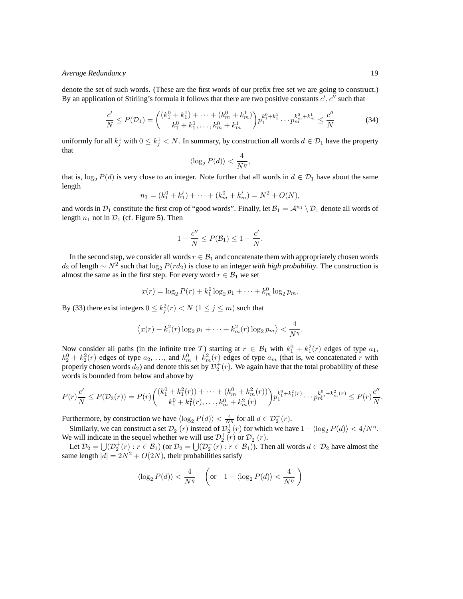denote the set of such words. (These are the first words of our prefix free set we are going to construct.) By an application of Stirling's formula it follows that there are two positive constants  $c', c''$  such that

$$
\frac{c'}{N} \le P(\mathcal{D}_1) = \binom{(k_1^0 + k_1^1) + \dots + (k_m^0 + k_m^1)}{k_1^0 + k_1^1, \dots, k_m^0 + k_m^1} p_1^{k_1^0 + k_1^1} \dots p_m^{k_m^0 + k_m^1} \le \frac{c''}{N} \tag{34}
$$

uniformly for all  $k_j^1$  with  $0 \leq k_j^1 < N$ . In summary, by construction all words  $d \in \mathcal{D}_1$  have the property that

$$
\langle \log_2 P(d) \rangle < \frac{4}{N^{\eta}},
$$

that is,  $\log_2 P(d)$  is very close to an integer. Note further that all words in  $d \in \mathcal{D}_1$  have about the same length

$$
n_1 = (k_1^0 + k_1') + \dots + (k_m^0 + k_m') = N^2 + O(N),
$$

and words in  $\mathcal{D}_1$  constitute the first crop of "good words". Finally, let  $\mathcal{B}_1 = \mathcal{A}^{n_1} \setminus \mathcal{D}_1$  denote all words of length  $n_1$  not in  $\mathcal{D}_1$  (cf. Figure 5). Then

$$
1 - \frac{c''}{N} \le P(\mathcal{B}_1) \le 1 - \frac{c'}{N}.
$$

In the second step, we consider all words  $r \in \mathcal{B}_1$  and concatenate them with appropriately chosen words  $d_2$  of length ∼  $N^2$  such that  $\log_2 P(r d_2)$  is close to an integer *with high probability*. The construction is almost the same as in the first step. For every word  $r \in \mathcal{B}_1$  we set

$$
x(r) = \log_2 P(r) + k_1^0 \log_2 p_1 + \dots + k_m^0 \log_2 p_m.
$$

By (33) there exist integers  $0 \le k_j^2(r) < N$   $(1 \le j \le m)$  such that

$$
\left\langle x(r) + k_1^2(r) \log_2 p_1 + \dots + k_m^2(r) \log_2 p_m \right\rangle < \frac{4}{N^{\eta}}.
$$

Now consider all paths (in the infinite tree T) starting at  $r \in \mathcal{B}_1$  with  $k_1^0 + k_1^2(r)$  edges of type  $a_1$ ,  $k_2^0 + k_2^2(r)$  edges of type  $a_2, \ldots$ , and  $k_m^0 + k_m^2(r)$  edges of type  $a_m$  (that is, we concatenated r with properly chosen words  $d_2$ ) and denote this set by  $\mathcal{D}_2^+(r)$ . We again have that the total probability of these words is bounded from below and above by

$$
P(r)\frac{c'}{N} \le P(\mathcal{D}_2(r)) = P(r) \binom{(k_1^0 + k_1^2(r)) + \dots + (k_m^0 + k_m^2(r))}{k_1^0 + k_1^2(r), \dots, k_m^0 + k_m^2(r)} p_1^{k_1^0 + k_1^2(r)} \dots p_m^{k_m^0 + k_m^2(r)} \le P(r) \frac{c''}{N}
$$

Furthermore, by construction we have  $\langle \log_2 P(d) \rangle < \frac{4}{N^{\eta}}$  for all  $d \in \mathcal{D}_2^+(r)$ .

Similarly, we can construct a set  $\mathcal{D}_2^-(r)$  instead of  $\mathcal{D}_2^+(r)$  for which we have  $1 - \langle \log_2 P(d) \rangle < 4/N^{\eta}$ . We will indicate in the sequel whether we will use  $\mathcal{D}_2^+(r)$  or  $\mathcal{D}_2^-(r)$ .

Let  $\mathcal{D}_2 = \bigcup_{i}(2^+(r): r \in \mathcal{B}_1)$  (or  $\mathcal{D}_2 = \bigcup_{i}(2^-(r): r \in \mathcal{B}_1)$ ). Then all words  $d \in \mathcal{D}_2$  have almost the same length  $|d| = 2N^2 + O(2N)$ , their probabilities satisfy

$$
\langle \log_2 P(d) \rangle < \frac{4}{N\eta} \quad \left( \text{or} \quad 1 - \langle \log_2 P(d) \rangle < \frac{4}{N\eta} \right)
$$

.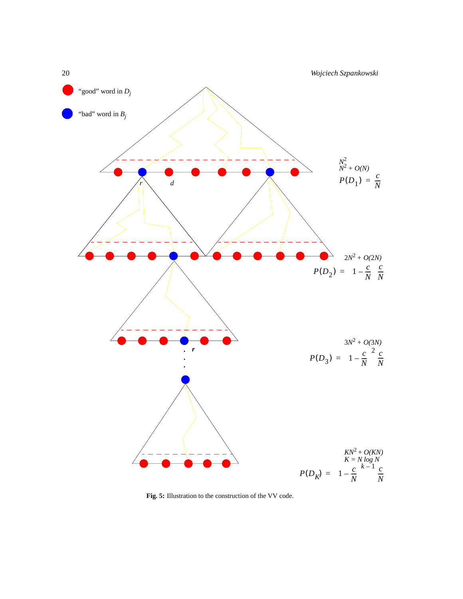

**Fig. 5:** Illustration to the construction of the VV code.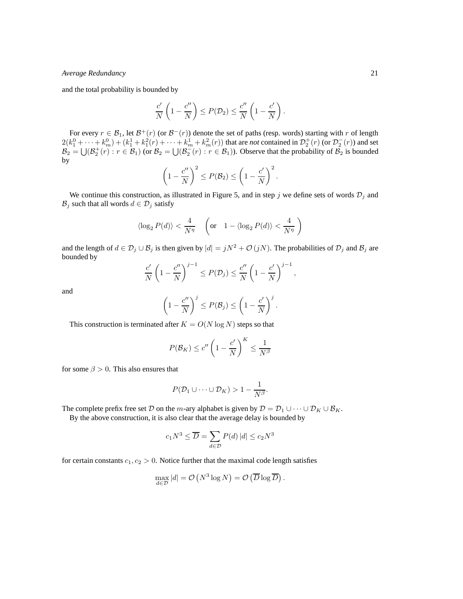and the total probability is bounded by

$$
\frac{c'}{N}\left(1-\frac{c''}{N}\right)\leq P(\mathcal{D}_2)\leq \frac{c''}{N}\left(1-\frac{c'}{N}\right).
$$

For every  $r \in \mathcal{B}_1$ , let  $\mathcal{B}^+(r)$  (or  $\mathcal{B}^-(r)$ ) denote the set of paths (resp. words) starting with r of length  $2(k_1^0 + \cdots + k_m^0) + (k_1^1 + k_1^2(r) + \cdots + k_m^1 + k_m^2(r))$  that are *not* contained in  $\mathcal{D}_2^+(r)$  (or  $\mathcal{D}_2^-(r)$ ) and set  $\mathcal{B}_2 = \bigcup (\mathcal{B}_2^+(r) : r \in \mathcal{B}_1)$  (or  $\mathcal{B}_2 = \bigcup (\mathcal{B}_2^-(r) : r \in \mathcal{B}_1)$ ). Observe that the probability of  $\mathcal{B}_2$  is bounded by

$$
\left(1-\frac{c''}{N}\right)^2 \le P(\mathcal{B}_2) \le \left(1-\frac{c'}{N}\right)^2.
$$

We continue this construction, as illustrated in Figure 5, and in step j we define sets of words  $\mathcal{D}_j$  and  $\mathcal{B}_j$  such that all words  $d \in \mathcal{D}_j$  satisfy

$$
\langle \log_2 P(d) \rangle < \frac{4}{N^{\eta}} \quad \left( \text{or} \quad 1 - \langle \log_2 P(d) \rangle < \frac{4}{N^{\eta}} \right)
$$

and the length of  $d \in \mathcal{D}_j \cup \mathcal{B}_j$  is then given by  $|d| = jN^2 + \mathcal{O}(jN)$ . The probabilities of  $\mathcal{D}_j$  and  $\mathcal{B}_j$  are bounded by

$$
\frac{c'}{N}\left(1-\frac{c''}{N}\right)^{j-1}\leq P(\mathcal{D}_j)\leq \frac{c''}{N}\left(1-\frac{c'}{N}\right)^{j-1},
$$

and

$$
\left(1-\frac{c''}{N}\right)^j \le P(\mathcal{B}_j) \le \left(1-\frac{c'}{N}\right)^j.
$$

This construction is terminated after  $K = O(N \log N)$  steps so that

$$
P(\mathcal{B}_K) \le c'' \left(1 - \frac{c'}{N}\right)^K \le \frac{1}{N^{\beta}}
$$

for some  $\beta > 0$ . This also ensures that

$$
P(\mathcal{D}_1 \cup \cdots \cup \mathcal{D}_K) > 1 - \frac{1}{N^{\beta}}.
$$

The complete prefix free set D on the m-ary alphabet is given by  $D = D_1 \cup \cdots \cup D_K \cup B_K$ .

By the above construction, it is also clear that the average delay is bounded by

$$
c_1 N^3 \le \overline{D} = \sum_{d \in \mathcal{D}} P(d) |d| \le c_2 N^3
$$

for certain constants  $c_1, c_2 > 0$ . Notice further that the maximal code length satisfies

$$
\max_{d \in \mathcal{D}} |d| = \mathcal{O}\left(N^3 \log N\right) = \mathcal{O}\left(\overline{D} \log \overline{D}\right).
$$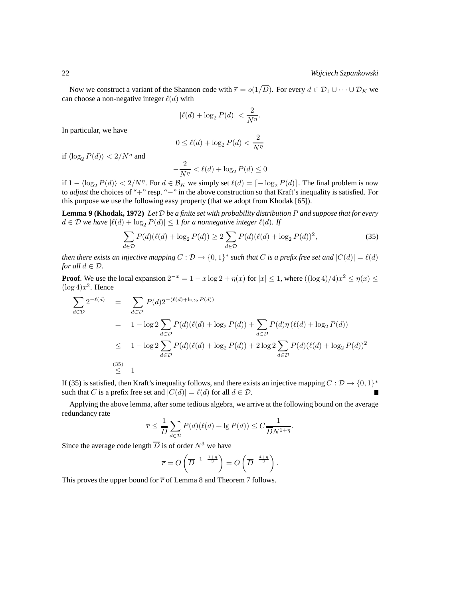Now we construct a variant of the Shannon code with  $\overline{r} = o(1/\overline{D})$ . For every  $d \in \mathcal{D}_1 \cup \cdots \cup \mathcal{D}_K$  we can choose a non-negative integer  $\ell(d)$  with

$$
|\ell(d) + \log_2 P(d)| < \frac{2}{N^{\eta}}.
$$

In particular, we have

$$
0 \le \ell(d) + \log_2 P(d) < \frac{2}{N^{\eta}}
$$

if  $\langle \log_2 P(d) \rangle < 2/N^{\eta}$  and

$$
-\frac{2}{N^{\eta}} < \ell(d) + \log_2 P(d) \le 0
$$

if  $1 - \langle \log_2 P(d) \rangle < 2/N^{\eta}$ . For  $d \in \mathcal{B}_K$  we simply set  $\ell(d) = \lceil -\log_2 P(d) \rceil$ . The final problem is now to *adjust* the choices of "+" resp. "-" in the above construction so that Kraft's inequality is satisfied. For this purpose we use the following easy property (that we adopt from Khodak [65]).

**Lemma 9 (Khodak, 1972)** *Let* D *be a finite set with probability distribution* P *and suppose that for every*  $d \in \mathcal{D}$  *we have*  $|\ell(d) + \log_2 P(d)| \leq 1$  *for a nonnegative integer*  $\ell(d)$ *. If* 

$$
\sum_{d \in \mathcal{D}} P(d)(\ell(d) + \log_2 P(d)) \ge 2 \sum_{d \in \mathcal{D}} P(d)(\ell(d) + \log_2 P(d))^2,
$$
\n(35)

*then there exists an injective mapping*  $C: \mathcal{D} \to \{0,1\}^*$  *such that*  $C$  *is a prefix free set and*  $|C(d)| = \ell(d)$ *for all*  $d \in \mathcal{D}$ *.* 

**Proof**. We use the local expansion  $2^{-x} = 1 - x \log 2 + \eta(x)$  for  $|x| \le 1$ , where  $((\log 4)/4)x^2 \le \eta(x) \le$  $(\log 4)x^2$ . Hence

$$
\sum_{d \in \mathcal{D}} 2^{-\ell(d)} = \sum_{d \in \mathcal{D}} P(d) 2^{-(\ell(d) + \log_2 P(d))}
$$
\n
$$
= 1 - \log 2 \sum_{d \in \mathcal{D}} P(d) (\ell(d) + \log_2 P(d)) + \sum_{d \in \mathcal{D}} P(d) \eta (\ell(d) + \log_2 P(d))
$$
\n
$$
\leq 1 - \log 2 \sum_{d \in \mathcal{D}} P(d) (\ell(d) + \log_2 P(d)) + 2 \log 2 \sum_{d \in \mathcal{D}} P(d) (\ell(d) + \log_2 P(d))^2
$$
\n(35)\n
$$
\leq 1
$$

If (35) is satisfied, then Kraft's inequality follows, and there exists an injective mapping  $C : \mathcal{D} \to \{0,1\}^*$ such that C is a prefix free set and  $|C(d)| = \ell(d)$  for all  $d \in \mathcal{D}$ .

Applying the above lemma, after some tedious algebra, we arrive at the following bound on the average redundancy rate

$$
\overline{r} \le \frac{1}{\overline{D}} \sum_{d \in \mathcal{D}} P(d) (\ell(d) + \lg P(d)) \le C \frac{1}{\overline{D} N^{1+\eta}}.
$$

Since the average code length  $\overline{D}$  is of order  $N^3$  we have

$$
\overline{r} = O\left(\overline{D}^{-1-\frac{1+\eta}{3}}\right) = O\left(\overline{D}^{-\frac{4+\eta}{3}}\right).
$$

This proves the upper bound for  $\overline{r}$  of Lemma 8 and Theorem 7 follows.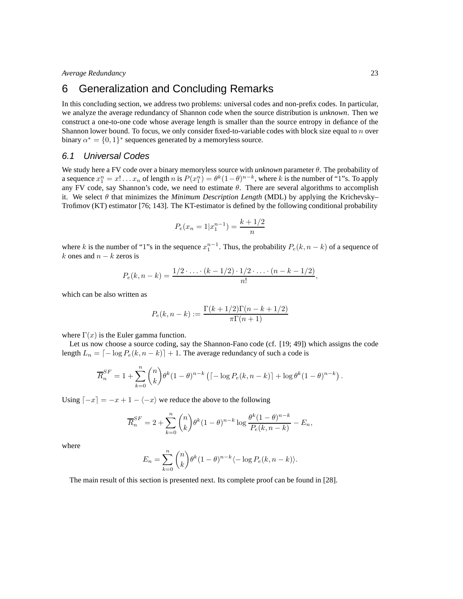# 6 Generalization and Concluding Remarks

In this concluding section, we address two problems: universal codes and non-prefix codes. In particular, we analyze the average redundancy of Shannon code when the source distribution is *unknown*. Then we construct a one-to-one code whose average length is smaller than the source entropy in defiance of the Shannon lower bound. To focus, we only consider fixed-to-variable codes with block size equal to  $n$  over binary  $\alpha^* = \{0, 1\}^*$  sequences generated by a memoryless source.

### 6.1 Universal Codes

We study here a FV code over a binary memoryless source with *unknown* parameter θ. The probability of a sequence  $x_1^n = x! \dots x_n$  of length n is  $P(x_1^n) = \theta^k (1-\theta)^{n-k}$ , where k is the number of "1"s. To apply any FV code, say Shannon's code, we need to estimate  $\theta$ . There are several algorithms to accomplish it. We select θ that minimizes the *Minimum Description Length* (MDL) by applying the Krichevsky– Trofimov (KT) estimator [76; 143]. The KT-estimator is defined by the following conditional probability

$$
P_e(x_n = 1 | x_1^{n-1}) = \frac{k+1/2}{n}
$$

where k is the number of "1"s in the sequence  $x_1^{n-1}$ . Thus, the probability  $P_e(k, n-k)$  of a sequence of k ones and  $n - k$  zeros is

$$
P_e(k, n-k) = \frac{1/2 \cdot \ldots \cdot (k-1/2) \cdot 1/2 \cdot \ldots \cdot (n-k-1/2)}{n!},
$$

which can be also written as

$$
P_e(k, n-k) := \frac{\Gamma(k + 1/2)\Gamma(n - k + 1/2)}{\pi \Gamma(n + 1)}
$$

where  $\Gamma(x)$  is the Euler gamma function.

Let us now choose a source coding, say the Shannon-Fano code (cf. [19; 49]) which assigns the code length  $L_n = \lfloor -\log P_e(k, n-k) \rfloor + 1$ . The average redundancy of such a code is

$$
\overline{R}_n^{SF} = 1 + \sum_{k=0}^n \binom{n}{k} \theta^k (1-\theta)^{n-k} \left( \left\lceil \log P_e(k, n-k) \right\rceil + \log \theta^k (1-\theta)^{n-k} \right).
$$

Using  $\lceil -x \rceil = -x + 1 - \langle -x \rangle$  we reduce the above to the following

$$
\overline{R}_n^{SF} = 2 + \sum_{k=0}^n {n \choose k} \theta^k (1-\theta)^{n-k} \log \frac{\theta^k (1-\theta)^{n-k}}{P_e(k, n-k)} - E_n,
$$

where

$$
E_n = \sum_{k=0}^n \binom{n}{k} \theta^k (1-\theta)^{n-k} \langle -\log P_e(k, n-k) \rangle.
$$

The main result of this section is presented next. Its complete proof can be found in [28].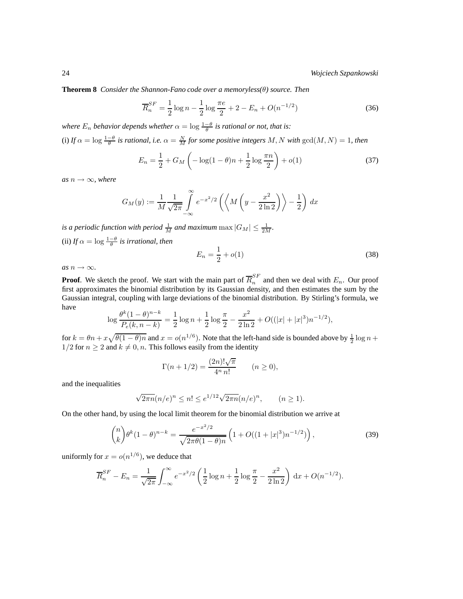**Theorem 8** *Consider the Shannon-Fano code over a memoryless(*θ*) source. Then*

$$
\overline{R}_n^{SF} = \frac{1}{2} \log n - \frac{1}{2} \log \frac{\pi e}{2} + 2 - E_n + O(n^{-1/2})
$$
\n(36)

*where*  $E_n$  *behavior depends whether*  $\alpha = \log \frac{1-\theta}{\theta}$  *is rational or not, that is:* 

(i) If  $\alpha = \log \frac{1-\theta}{\theta}$  is rational, i.e.  $\alpha = \frac{N}{M}$  for some positive integers M, N with  $gcd(M, N) = 1$ , then

$$
E_n = \frac{1}{2} + G_M \left( -\log(1-\theta)n + \frac{1}{2}\log\frac{\pi n}{2} \right) + o(1)
$$
 (37)

 $as n \rightarrow \infty$ *, where* 

$$
G_M(y) := \frac{1}{M} \frac{1}{\sqrt{2\pi}} \int_{-\infty}^{\infty} e^{-x^2/2} \left( \left\langle M \left( y - \frac{x^2}{2 \ln 2} \right) \right\rangle - \frac{1}{2} \right) dx
$$

is a periodic function with period  $\frac{1}{M}$  and maximum  $\max|G_M| \leq \frac{1}{2M}$ . (ii) *If*  $\alpha = \log \frac{1-\theta}{\theta}$  is irrational, then

$$
E_n = \frac{1}{2} + o(1) \tag{38}
$$

 $as n \rightarrow \infty$ .

**Proof.** We sketch the proof. We start with the main part of  $\overline{R}_n^{SF}$  $n^{1/2}$  and then we deal with  $E_n$ . Our proof first approximates the binomial distribution by its Gaussian density, and then estimates the sum by the Gaussian integral, coupling with large deviations of the binomial distribution. By Stirling's formula, we have

$$
\log \frac{\theta^k (1-\theta)^{n-k}}{P_e(k, n-k)} = \frac{1}{2} \log n + \frac{1}{2} \log \frac{\pi}{2} - \frac{x^2}{2 \ln 2} + O((|x|+|x|^3)n^{-1/2}),
$$

for  $k = \theta n + x\sqrt{\theta(1-\theta)n}$  and  $x = o(n^{1/6})$ . Note that the left-hand side is bounded above by  $\frac{1}{2} \log n +$  $1/2$  for  $n \ge 2$  and  $k \ne 0, n$ . This follows easily from the identity

$$
\Gamma(n + 1/2) = \frac{(2n)! \sqrt{\pi}}{4^n n!}
$$
  $(n \ge 0),$ 

and the inequalities

$$
\sqrt{2\pi n}(n/e)^n \le n! \le e^{1/12}\sqrt{2\pi n}(n/e)^n
$$
,  $(n \ge 1)$ .

On the other hand, by using the local limit theorem for the binomial distribution we arrive at

$$
\binom{n}{k} \theta^k (1-\theta)^{n-k} = \frac{e^{-x^2/2}}{\sqrt{2\pi\theta(1-\theta)n}} \left( 1 + O((1+|x|^3)n^{-1/2}) \right),\tag{39}
$$

uniformly for  $x = o(n^{1/6})$ , we deduce that

$$
\overline{R}_n^{SF} - E_n = \frac{1}{\sqrt{2\pi}} \int_{-\infty}^{\infty} e^{-x^2/2} \left( \frac{1}{2} \log n + \frac{1}{2} \log \frac{\pi}{2} - \frac{x^2}{2 \ln 2} \right) dx + O(n^{-1/2}).
$$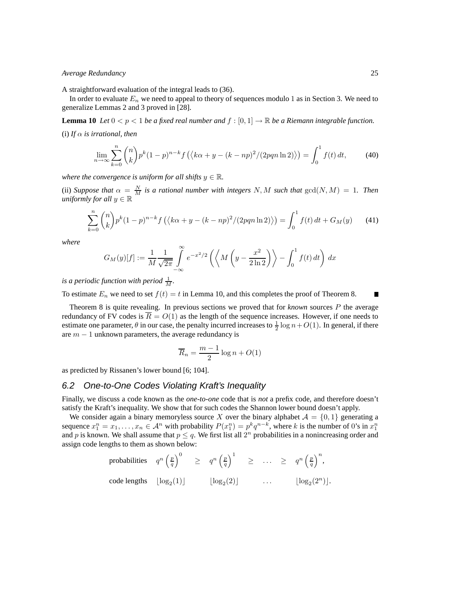A straightforward evaluation of the integral leads to (36).

In order to evaluate  $E_n$  we need to appeal to theory of sequences modulo 1 as in Section 3. We need to generalize Lemmas 2 and 3 proved in [28].

**Lemma 10** *Let*  $0 < p < 1$  *be a fixed real number and*  $f : [0, 1] \rightarrow \mathbb{R}$  *be a Riemann integrable function.* 

(i) If  $\alpha$  *is irrational, then* 

$$
\lim_{n \to \infty} \sum_{k=0}^{n} {n \choose k} p^k (1-p)^{n-k} f\left(\langle k\alpha + y - (k - np)^2 / (2pqn \ln 2) \rangle\right) = \int_0^1 f(t) dt,
$$
 (40)

*where the convergence is uniform for all shifts*  $y \in \mathbb{R}$ *.* 

(ii) *Suppose that*  $\alpha = \frac{N}{M}$  *is a rational number with integers* N, M *such that*  $gcd(N, M) = 1$ *. Then uniformly for all*  $y \in \mathbb{R}$ 

$$
\sum_{k=0}^{n} \binom{n}{k} p^k (1-p)^{n-k} f\left(\langle k\alpha + y - (k - np)^2 / (2pqn \ln 2) \rangle\right) = \int_0^1 f(t) \, dt + G_M(y) \tag{41}
$$

*where*

$$
G_M(y)[f] := \frac{1}{M} \frac{1}{\sqrt{2\pi}} \int_{-\infty}^{\infty} e^{-x^2/2} \left( \left\langle M \left( y - \frac{x^2}{2\ln 2} \right) \right\rangle - \int_0^1 f(t) dt \right) dx
$$

is a periodic function with period  $\frac{1}{M}$ .

To estimate  $E_n$  we need to set  $f(t) = t$  in Lemma 10, and this completes the proof of Theorem 8. П

Theorem 8 is quite revealing. In previous sections we proved that for *known* sources P the average redundancy of FV codes is  $\overline{R} = O(1)$  as the length of the sequence increases. However, if one needs to estimate one parameter,  $\theta$  in our case, the penalty incurred increases to  $\frac{1}{2} \log n + O(1)$ . In general, if there are  $m - 1$  unknown parameters, the average redundancy is

$$
\overline{R}_n = \frac{m-1}{2} \log n + O(1)
$$

as predicted by Rissanen's lower bound [6; 104].

#### 6.2 One-to-One Codes Violating Kraft's Inequality

Finally, we discuss a code known as the *one-to-one* code that is *not* a prefix code, and therefore doesn't satisfy the Kraft's inequality. We show that for such codes the Shannon lower bound doesn't apply.

We consider again a binary memoryless source X over the binary alphabet  $A = \{0, 1\}$  generating a sequence  $x_1^n = x_1, \ldots, x_n \in A^n$  with probability  $P(x_1^n) = p^k q^{n-k}$ , where k is the number of 0's in  $x_1^n$ and p is known. We shall assume that  $p \leq q$ . We first list all  $2^n$  probabilities in a nonincreasing order and assign code lengths to them as shown below:

probabilities 
$$
q^n \left(\frac{p}{q}\right)^0 \geq q^n \left(\frac{p}{q}\right)^1 \geq \dots \geq q^n \left(\frac{p}{q}\right)^n
$$
,  
code lengths  $\lfloor \log_2(1) \rfloor$   $\lfloor \log_2(2) \rfloor$   $\dots$   $\lfloor \log_2(2^n) \rfloor$ .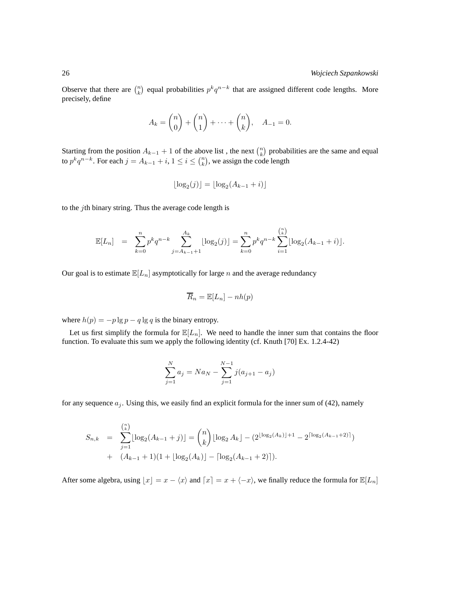Observe that there are  $\binom{n}{k}$  equal probabilities  $p^k q^{n-k}$  that are assigned different code lengths. More precisely, define

$$
A_k = \binom{n}{0} + \binom{n}{1} + \dots + \binom{n}{k}, \quad A_{-1} = 0.
$$

Starting from the position  $A_{k-1} + 1$  of the above list, the next  $\binom{n}{k}$  probabilities are the same and equal to  $p^k q^{n-k}$ . For each  $j = A_{k-1} + i$ ,  $1 \le i \le {n \choose k}$ , we assign the code length

$$
\lfloor \log_2(j) \rfloor = \lfloor \log_2(A_{k-1} + i) \rfloor
$$

to the  $j$ th binary string. Thus the average code length is

$$
\mathbb{E}[L_n] = \sum_{k=0}^n p^k q^{n-k} \sum_{j=A_{k-1}+1}^{A_k} \lfloor \log_2(j) \rfloor = \sum_{k=0}^n p^k q^{n-k} \sum_{i=1}^{\binom{n}{k}} \lfloor \log_2(A_{k-1}+i) \rfloor.
$$

Our goal is to estimate  $\mathbb{E}[L_n]$  asymptotically for large n and the average redundancy

$$
\overline{R}_n = \mathbb{E}[L_n] - nh(p)
$$

where  $h(p) = -p \lg p - q \lg q$  is the binary entropy.

Let us first simplify the formula for  $\mathbb{E}[L_n]$ . We need to handle the inner sum that contains the floor function. To evaluate this sum we apply the following identity (cf. Knuth [70] Ex. 1.2.4-42)

$$
\sum_{j=1}^{N} a_j = Na_N - \sum_{j=1}^{N-1} j(a_{j+1} - a_j)
$$

for any sequence  $a_j$ . Using this, we easily find an explicit formula for the inner sum of (42), namely

$$
S_{n,k} = \sum_{j=1}^{\binom{n}{k}} \lfloor \log_2(A_{k-1} + j) \rfloor = \binom{n}{k} \lfloor \log_2 A_k \rfloor - (2^{\lfloor \log_2(A_k) \rfloor + 1} - 2^{\lceil \log_2(A_{k-1} + 2) \rceil}) + (A_{k-1} + 1)(1 + \lfloor \log_2(A_k) \rfloor - \lceil \log_2(A_{k-1} + 2) \rceil).
$$

After some algebra, using  $\lfloor x \rfloor = x - \langle x \rangle$  and  $\lceil x \rceil = x + \langle -x \rangle$ , we finally reduce the formula for  $\mathbb{E}[L_n]$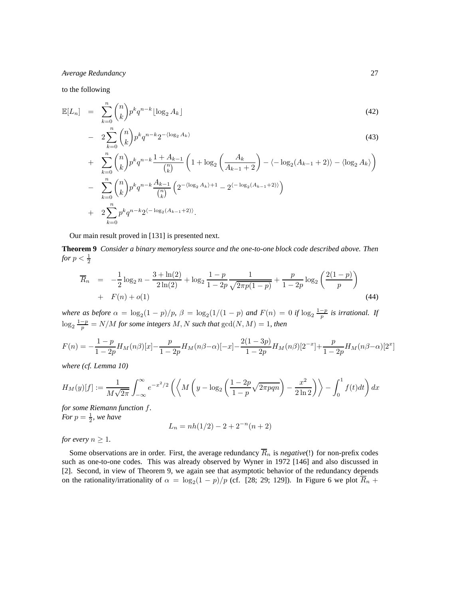to the following

$$
\mathbb{E}[L_n] = \sum_{k=0}^n \binom{n}{k} p^k q^{n-k} \lfloor \log_2 A_k \rfloor \tag{42}
$$

$$
-2\sum_{k=0}^{n} \binom{n}{k} p^k q^{n-k} 2^{-\langle \log_2 A_k \rangle} \tag{43}
$$

+ 
$$
\sum_{k=0}^{n} {n \choose k} p^k q^{n-k} \frac{1 + A_{k-1}}{{n \choose k}} \left( 1 + \log_2 \left( \frac{A_k}{A_{k-1} + 2} \right) - \langle -\log_2 (A_{k-1} + 2) \rangle - \langle \log_2 A_k \rangle \right)
$$
  
- 
$$
\sum_{k=0}^{n} {n \choose k} p^k q^{n-k} \frac{A_{k-1}}{{n \choose k}} \left( 2^{-\langle \log_2 A_k \rangle + 1} - 2^{\langle -\log_2 (A_{k-1} + 2) \rangle} \right)
$$
  
+ 
$$
2 \sum_{k=0}^{n} p^k q^{n-k} 2^{\langle -\log_2 (A_{k-1} + 2) \rangle}.
$$

Our main result proved in [131] is presented next.

**Theorem 9** *Consider a binary memoryless source and the one-to-one block code described above. Then for*  $p < \frac{1}{2}$ 

$$
\overline{R}_n = -\frac{1}{2}\log_2 n - \frac{3 + \ln(2)}{2\ln(2)} + \log_2 \frac{1 - p}{1 - 2p} \frac{1}{\sqrt{2\pi p(1 - p)}} + \frac{p}{1 - 2p} \log_2 \left(\frac{2(1 - p)}{p}\right)
$$
  
+  $F(n) + o(1)$  (44)

*where as before*  $\alpha = \log_2(1-p)/p$ ,  $\beta = \log_2(1/(1-p)$  and  $F(n) = 0$  if  $\log_2 \frac{1-p}{p}$  is irrational. If  $\log_2 \frac{1-p}{p} = N/M$  for some integers M, N such that  $\gcd(N, M) = 1$ , then

$$
F(n) = -\frac{1-p}{1-2p}H_M(n\beta)[x] - \frac{p}{1-2p}H_M(n\beta - \alpha)[-x] - \frac{2(1-3p)}{1-2p}H_M(n\beta)[2^{-x}] + \frac{p}{1-2p}H_M(n\beta - \alpha)[2^{x}]
$$

*where (cf. Lemma 10)*

$$
H_M(y)[f] := \frac{1}{M\sqrt{2\pi}} \int_{-\infty}^{\infty} e^{-x^2/2} \left( \left\langle M\left(y - \log_2\left(\frac{1 - 2p}{1 - p}\sqrt{2\pi p q n}\right) - \frac{x^2}{2\ln 2}\right) \right\rangle - \int_0^1 f(t)dt \right) dx
$$

*for some Riemann function* f*. For*  $p = \frac{1}{2}$ *, we have* 

$$
L_n = nh(1/2) - 2 + 2^{-n}(n+2)
$$

*for every*  $n \geq 1$ *.* 

Some observations are in order. First, the average redundancy  $\overline{R}_n$  is *negative*(!) for non-prefix codes such as one-to-one codes. This was already observed by Wyner in 1972 [146] and also discussed in [2]. Second, in view of Theorem 9, we again see that asymptotic behavior of the redundancy depends on the rationality/irrationality of  $\alpha = \log_2(1-p)/p$  (cf. [28; 29; 129]). In Figure 6 we plot  $R_n$  +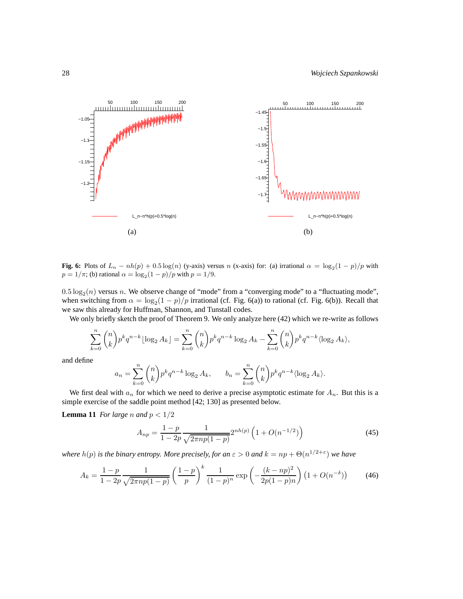

**Fig. 6:** Plots of  $L_n - nh(p) + 0.5 \log(n)$  (y-axis) versus n (x-axis) for: (a) irrational  $\alpha = \log_2(1-p)/p$  with  $p = 1/\pi$ ; (b) rational  $\alpha = \log_2(1-p)/p$  with  $p = 1/9$ .

 $0.5 \log_2(n)$  versus n. We observe change of "mode" from a "converging mode" to a "fluctuating mode", when switching from  $\alpha = \log_2(1-p)/p$  irrational (cf. Fig. 6(a)) to rational (cf. Fig. 6(b)). Recall that we saw this already for Huffman, Shannon, and Tunstall codes.

We only briefly sketch the proof of Theorem 9. We only analyze here (42) which we re-write as follows

$$
\sum_{k=0}^{n} \binom{n}{k} p^k q^{n-k} \lfloor \log_2 A_k \rfloor = \sum_{k=0}^{n} \binom{n}{k} p^k q^{n-k} \log_2 A_k - \sum_{k=0}^{n} \binom{n}{k} p^k q^{n-k} \langle \log_2 A_k \rangle,
$$

and define

$$
a_n = \sum_{k=0}^n \binom{n}{k} p^k q^{n-k} \log_2 A_k, \qquad b_n = \sum_{k=0}^n \binom{n}{k} p^k q^{n-k} \langle \log_2 A_k \rangle.
$$

We first deal with  $a_n$  for which we need to derive a precise asymptotic estimate for  $A_n$ . But this is a simple exercise of the saddle point method [42; 130] as presented below.

**Lemma 11** *For large n* and  $p < 1/2$ 

$$
A_{np} = \frac{1-p}{1-2p} \frac{1}{\sqrt{2\pi np(1-p)}} 2^{nh(p)} \left( 1 + O(n^{-1/2}) \right)
$$
(45)

*where*  $h(p)$  *is the binary entropy. More precisely, for an*  $\varepsilon > 0$  *and*  $k = np + \Theta(n^{1/2+\varepsilon})$  *we have* 

$$
A_k = \frac{1-p}{1-2p} \frac{1}{\sqrt{2\pi np(1-p)}} \left(\frac{1-p}{p}\right)^k \frac{1}{(1-p)^n} \exp\left(-\frac{(k-np)^2}{2p(1-p)n}\right) \left(1 + O(n^{-\delta})\right) \tag{46}
$$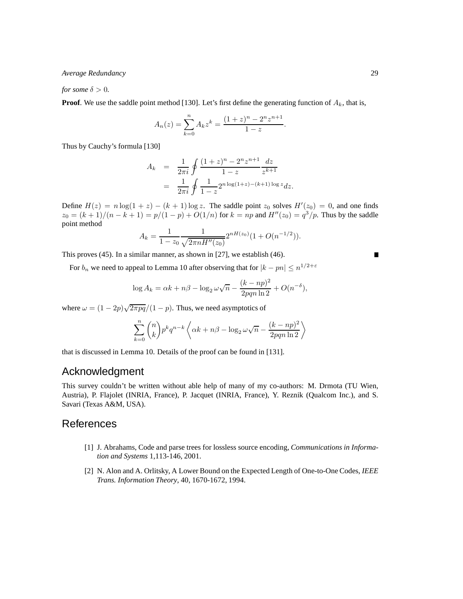*for some*  $\delta > 0$ *.* 

**Proof**. We use the saddle point method [130]. Let's first define the generating function of  $A_k$ , that is,

$$
A_n(z) = \sum_{k=0}^n A_k z^k = \frac{(1+z)^n - 2^n z^{n+1}}{1-z}.
$$

Thus by Cauchy's formula [130]

$$
A_k = \frac{1}{2\pi i} \oint \frac{(1+z)^n - 2^n z^{n+1}}{1-z} \frac{dz}{z^{k+1}}
$$
  
= 
$$
\frac{1}{2\pi i} \oint \frac{1}{1-z} 2^{n \log(1+z) - (k+1) \log z} dz.
$$

Define  $H(z) = n \log(1 + z) - (k + 1) \log z$ . The saddle point  $z_0$  solves  $H'(z_0) = 0$ , and one finds  $z_0 = (k+1)/(n-k+1) = p/(1-p) + O(1/n)$  for  $k = np$  and  $H''(z_0) = q^3/p$ . Thus by the saddle point method

$$
A_k = \frac{1}{1 - z_0} \frac{1}{\sqrt{2\pi n H''(z_0)}} 2^{nH(z_0)} (1 + O(n^{-1/2})).
$$

This proves (45). In a similar manner, as shown in [27], we establish (46).

For  $b_n$  we need to appeal to Lemma 10 after observing that for  $|k - pn| \le n^{1/2 + \varepsilon}$ 

$$
\log A_k = \alpha k + n\beta - \log_2 \omega \sqrt{n} - \frac{(k - np)^2}{2pqn \ln 2} + O(n^{-\delta}),
$$

where  $\omega = (1 - 2p)\sqrt{2\pi pq}/(1 - p)$ . Thus, we need asymptotics of

$$
\sum_{k=0}^{n} {n \choose k} p^{k} q^{n-k} \left\langle \alpha k + n\beta - \log_2 \omega \sqrt{n} - \frac{(k - np)^2}{2pqn \ln 2} \right\rangle
$$

that is discussed in Lemma 10. Details of the proof can be found in [131].

### Acknowledgment

This survey couldn't be written without able help of many of my co-authors: M. Drmota (TU Wien, Austria), P. Flajolet (INRIA, France), P. Jacquet (INRIA, France), Y. Reznik (Qualcom Inc.), and S. Savari (Texas A&M, USA).

### References

- [1] J. Abrahams, Code and parse trees for lossless source encoding, *Communications in Information and Systems* 1,113-146, 2001.
- [2] N. Alon and A. Orlitsky, A Lower Bound on the Expected Length of One-to-One Codes, *IEEE Trans. Information Theory*, 40, 1670-1672, 1994.

$$
\blacksquare
$$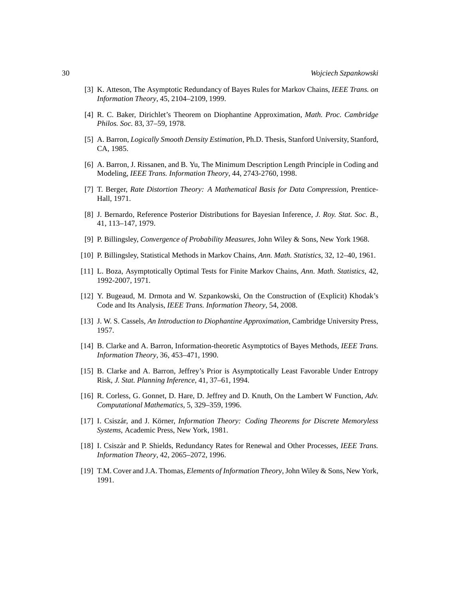- [3] K. Atteson, The Asymptotic Redundancy of Bayes Rules for Markov Chains, *IEEE Trans. on Information Theory*, 45, 2104–2109, 1999.
- [4] R. C. Baker, Dirichlet's Theorem on Diophantine Approximation, *Math. Proc. Cambridge Philos. Soc.* 83, 37–59, 1978.
- [5] A. Barron, *Logically Smooth Density Estimation*, Ph.D. Thesis, Stanford University, Stanford, CA, 1985.
- [6] A. Barron, J. Rissanen, and B. Yu, The Minimum Description Length Principle in Coding and Modeling, *IEEE Trans. Information Theory*, 44, 2743-2760, 1998.
- [7] T. Berger, *Rate Distortion Theory: A Mathematical Basis for Data Compression*, Prentice-Hall, 1971.
- [8] J. Bernardo, Reference Posterior Distributions for Bayesian Inference, *J. Roy. Stat. Soc. B.*, 41, 113–147, 1979.
- [9] P. Billingsley, *Convergence of Probability Measures*, John Wiley & Sons, New York 1968.
- [10] P. Billingsley, Statistical Methods in Markov Chains, *Ann. Math. Statistics*, 32, 12–40, 1961.
- [11] L. Boza, Asymptotically Optimal Tests for Finite Markov Chains, *Ann. Math. Statistics*, 42, 1992-2007, 1971.
- [12] Y. Bugeaud, M. Drmota and W. Szpankowski, On the Construction of (Explicit) Khodak's Code and Its Analysis, *IEEE Trans. Information Theory*, 54, 2008.
- [13] J. W. S. Cassels, *An Introduction to Diophantine Approximation*, Cambridge University Press, 1957.
- [14] B. Clarke and A. Barron, Information-theoretic Asymptotics of Bayes Methods, *IEEE Trans. Information Theory*, 36, 453–471, 1990.
- [15] B. Clarke and A. Barron, Jeffrey's Prior is Asymptotically Least Favorable Under Entropy Risk, *J. Stat. Planning Inference*, 41, 37–61, 1994.
- [16] R. Corless, G. Gonnet, D. Hare, D. Jeffrey and D. Knuth, On the Lambert W Function, *Adv. Computational Mathematics*, 5, 329–359, 1996.
- [17] I. Csiszár, and J. Körner, *Information Theory: Coding Theorems for Discrete Memoryless Systems*, Academic Press, New York, 1981.
- [18] I. Csisz`ar and P. Shields, Redundancy Rates for Renewal and Other Processes, *IEEE Trans. Information Theory*, 42, 2065–2072, 1996.
- [19] T.M. Cover and J.A. Thomas, *Elements of Information Theory*, John Wiley & Sons, New York, 1991.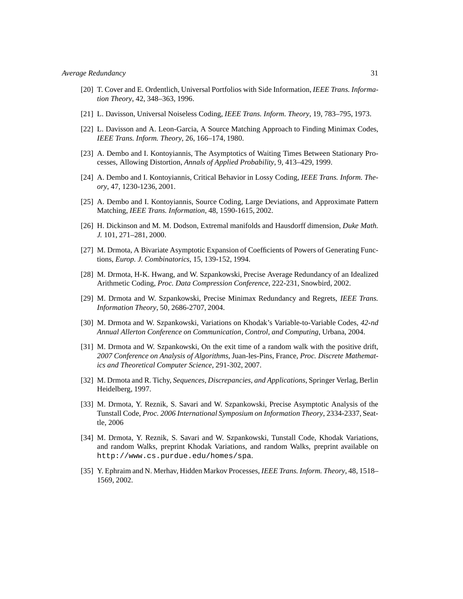- [20] T. Cover and E. Ordentlich, Universal Portfolios with Side Information, *IEEE Trans. Information Theory*, 42, 348–363, 1996.
- [21] L. Davisson, Universal Noiseless Coding, *IEEE Trans. Inform. Theory*, 19, 783–795, 1973.
- [22] L. Davisson and A. Leon-Garcia, A Source Matching Approach to Finding Minimax Codes, *IEEE Trans. Inform. Theory*, 26, 166–174, 1980.
- [23] A. Dembo and I. Kontoyiannis, The Asymptotics of Waiting Times Between Stationary Processes, Allowing Distortion, *Annals of Applied Probability*, 9, 413–429, 1999.
- [24] A. Dembo and I. Kontoyiannis, Critical Behavior in Lossy Coding, *IEEE Trans. Inform. Theory*, 47, 1230-1236, 2001.
- [25] A. Dembo and I. Kontoyiannis, Source Coding, Large Deviations, and Approximate Pattern Matching, *IEEE Trans. Information*, 48, 1590-1615, 2002.
- [26] H. Dickinson and M. M. Dodson, Extremal manifolds and Hausdorff dimension, *Duke Math. J.* 101, 271–281, 2000.
- [27] M. Drmota, A Bivariate Asymptotic Expansion of Coefficients of Powers of Generating Functions, *Europ. J. Combinatorics*, 15, 139-152, 1994.
- [28] M. Drmota, H-K. Hwang, and W. Szpankowski, Precise Average Redundancy of an Idealized Arithmetic Coding, *Proc. Data Compression Conference*, 222-231, Snowbird, 2002.
- [29] M. Drmota and W. Szpankowski, Precise Minimax Redundancy and Regrets, *IEEE Trans. Information Theory*, 50, 2686-2707, 2004.
- [30] M. Drmota and W. Szpankowski, Variations on Khodak's Variable-to-Variable Codes, *42-nd Annual Allerton Conference on Communication, Control, and Computing*, Urbana, 2004.
- [31] M. Drmota and W. Szpankowski, On the exit time of a random walk with the positive drift, *2007 Conference on Analysis of Algorithms*, Juan-les-Pins, France, *Proc. Discrete Mathematics and Theoretical Computer Science*, 291-302, 2007.
- [32] M. Drmota and R. Tichy, *Sequences, Discrepancies, and Applications*, Springer Verlag, Berlin Heidelberg, 1997.
- [33] M. Drmota, Y. Reznik, S. Savari and W. Szpankowski, Precise Asymptotic Analysis of the Tunstall Code, *Proc. 2006 International Symposium on Information Theory*, 2334-2337, Seattle, 2006
- [34] M. Drmota, Y. Reznik, S. Savari and W. Szpankowski, Tunstall Code, Khodak Variations, and random Walks, preprint Khodak Variations, and random Walks, preprint available on http://www.cs.purdue.edu/homes/spa.
- [35] Y. Ephraim and N. Merhav, Hidden Markov Processes, *IEEE Trans. Inform. Theory*, 48, 1518– 1569, 2002.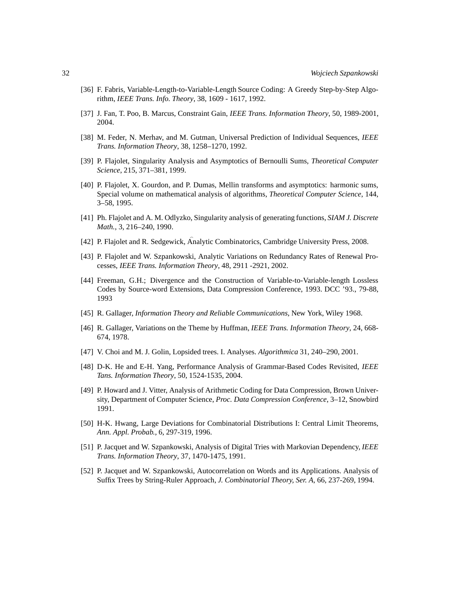- [36] F. Fabris, Variable-Length-to-Variable-Length Source Coding: A Greedy Step-by-Step Algorithm, *IEEE Trans. Info. Theory*, 38, 1609 - 1617, 1992.
- [37] J. Fan, T. Poo, B. Marcus, Constraint Gain, *IEEE Trans. Information Theory*, 50, 1989-2001, 2004.
- [38] M. Feder, N. Merhav, and M. Gutman, Universal Prediction of Individual Sequences, *IEEE Trans. Information Theory*, 38, 1258–1270, 1992.
- [39] P. Flajolet, Singularity Analysis and Asymptotics of Bernoulli Sums, *Theoretical Computer Science*, 215, 371–381, 1999.
- [40] P. Flajolet, X. Gourdon, and P. Dumas, Mellin transforms and asymptotics: harmonic sums, Special volume on mathematical analysis of algorithms, *Theoretical Computer Science*, 144, 3–58, 1995.
- [41] Ph. Flajolet and A. M. Odlyzko, Singularity analysis of generating functions, *SIAM J. Discrete Math.*, 3, 216–240, 1990.
- [42] P. Flajolet and R. Sedgewick, Analytic Combinatorics, Cambridge University Press, 2008.
- [43] P. Flajolet and W. Szpankowski, Analytic Variations on Redundancy Rates of Renewal Processes, *IEEE Trans. Information Theory*, 48, 2911 -2921, 2002.
- [44] Freeman, G.H.; Divergence and the Construction of Variable-to-Variable-length Lossless Codes by Source-word Extensions, Data Compression Conference, 1993. DCC '93., 79-88, 1993
- [45] R. Gallager, *Information Theory and Reliable Communications*, New York, Wiley 1968.
- [46] R. Gallager, Variations on the Theme by Huffman, *IEEE Trans. Information Theory*, 24, 668- 674, 1978.
- [47] V. Choi and M. J. Golin, Lopsided trees. I. Analyses. *Algorithmica* 31, 240–290, 2001.
- [48] D-K. He and E-H. Yang, Performance Analysis of Grammar-Based Codes Revisited, *IEEE Tans. Information Theory*, 50, 1524-1535, 2004.
- [49] P. Howard and J. Vitter, Analysis of Arithmetic Coding for Data Compression, Brown University, Department of Computer Science, *Proc. Data Compression Conference*, 3–12, Snowbird 1991.
- [50] H-K. Hwang, Large Deviations for Combinatorial Distributions I: Central Limit Theorems, *Ann. Appl. Probab.*, 6, 297-319, 1996.
- [51] P. Jacquet and W. Szpankowski, Analysis of Digital Tries with Markovian Dependency, *IEEE Trans. Information Theory*, 37, 1470-1475, 1991.
- [52] P. Jacquet and W. Szpankowski, Autocorrelation on Words and its Applications. Analysis of Suffix Trees by String-Ruler Approach, *J. Combinatorial Theory, Ser. A*, 66, 237-269, 1994.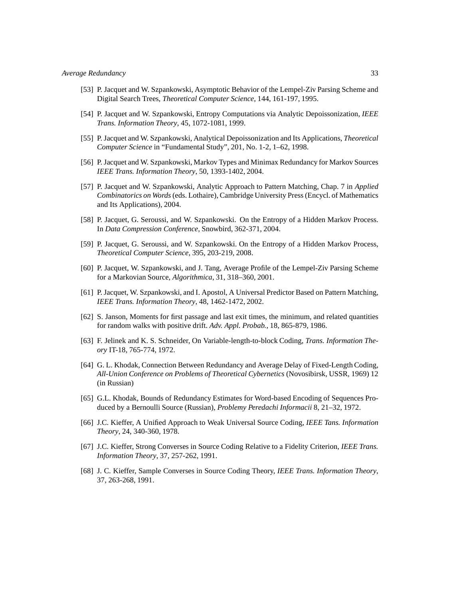- [53] P. Jacquet and W. Szpankowski, Asymptotic Behavior of the Lempel-Ziv Parsing Scheme and Digital Search Trees, *Theoretical Computer Science*, 144, 161-197, 1995.
- [54] P. Jacquet and W. Szpankowski, Entropy Computations via Analytic Depoissonization, *IEEE Trans. Information Theory*, 45, 1072-1081, 1999.
- [55] P. Jacquet and W. Szpankowski, Analytical Depoissonization and Its Applications, *Theoretical Computer Science* in "Fundamental Study", 201, No. 1-2, 1–62, 1998.
- [56] P. Jacquet and W. Szpankowski, Markov Types and Minimax Redundancy for Markov Sources *IEEE Trans. Information Theory*, 50, 1393-1402, 2004.
- [57] P. Jacquet and W. Szpankowski, Analytic Approach to Pattern Matching, Chap. 7 in *Applied Combinatorics on Words*(eds. Lothaire), Cambridge University Press (Encycl. of Mathematics and Its Applications), 2004.
- [58] P. Jacquet, G. Seroussi, and W. Szpankowski. On the Entropy of a Hidden Markov Process. In *Data Compression Conference*, Snowbird, 362-371, 2004.
- [59] P. Jacquet, G. Seroussi, and W. Szpankowski. On the Entropy of a Hidden Markov Process, *Theoretical Computer Science*, 395, 203-219, 2008.
- [60] P. Jacquet, W. Szpankowski, and J. Tang, Average Profile of the Lempel-Ziv Parsing Scheme for a Markovian Source, *Algorithmica*, 31, 318–360, 2001.
- [61] P. Jacquet, W. Szpankowski, and I. Apostol, A Universal Predictor Based on Pattern Matching, *IEEE Trans. Information Theory*, 48, 1462-1472, 2002.
- [62] S. Janson, Moments for first passage and last exit times, the minimum, and related quantities for random walks with positive drift. *Adv. Appl. Probab.*, 18, 865-879, 1986.
- [63] F. Jelinek and K. S. Schneider, On Variable-length-to-block Coding, *Trans. Information Theory* IT-18, 765-774, 1972.
- [64] G. L. Khodak, Connection Between Redundancy and Average Delay of Fixed-Length Coding, *All-Union Conference on Problems of Theoretical Cybernetics* (Novosibirsk, USSR, 1969) 12 (in Russian)
- [65] G.L. Khodak, Bounds of Redundancy Estimates for Word-based Encoding of Sequences Produced by a Bernoulli Source (Russian), *Problemy Peredachi Informacii* 8, 21–32, 1972.
- [66] J.C. Kieffer, A Unified Approach to Weak Universal Source Coding, *IEEE Tans. Information Theory*, 24, 340-360, 1978.
- [67] J.C. Kieffer, Strong Converses in Source Coding Relative to a Fidelity Criterion, *IEEE Trans. Information Theory*, 37, 257-262, 1991.
- [68] J. C. Kieffer, Sample Converses in Source Coding Theory, *IEEE Trans. Information Theory*, 37, 263-268, 1991.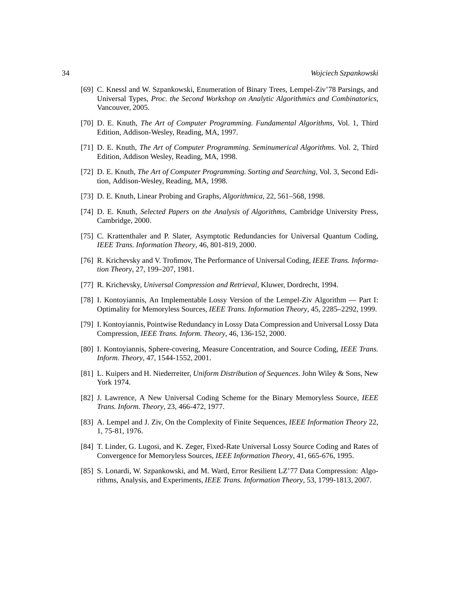- [69] C. Knessl and W. Szpankowski, Enumeration of Binary Trees, Lempel-Ziv'78 Parsings, and Universal Types, *Proc. the Second Workshop on Analytic Algorithmics and Combinatorics*, Vancouver, 2005.
- [70] D. E. Knuth, *The Art of Computer Programming. Fundamental Algorithms,* Vol. 1, Third Edition, Addison-Wesley, Reading, MA, 1997.
- [71] D. E. Knuth, *The Art of Computer Programming. Seminumerical Algorithms*. Vol. 2, Third Edition, Addison Wesley, Reading, MA, 1998.
- [72] D. E. Knuth, *The Art of Computer Programming. Sorting and Searching*, Vol. 3, Second Edition, Addison-Wesley, Reading, MA, 1998.
- [73] D. E. Knuth, Linear Probing and Graphs, *Algorithmica*, 22, 561–568, 1998.
- [74] D. E. Knuth, *Selected Papers on the Analysis of Algorithms*, Cambridge University Press, Cambridge, 2000.
- [75] C. Krattenthaler and P. Slater, Asymptotic Redundancies for Universal Quantum Coding, *IEEE Trans. Information Theory*, 46, 801-819, 2000.
- [76] R. Krichevsky and V. Trofimov, The Performance of Universal Coding, *IEEE Trans. Information Theory*, 27, 199–207, 1981.
- [77] R. Krichevsky, *Universal Compression and Retrieval,* Kluwer, Dordrecht, 1994.
- [78] I. Kontoyiannis, An Implementable Lossy Version of the Lempel-Ziv Algorithm Part I: Optimality for Memoryless Sources, *IEEE Trans. Information Theory*, 45, 2285–2292, 1999.
- [79] I. Kontoyiannis, Pointwise Redundancy in Lossy Data Compression and Universal Lossy Data Compression, *IEEE Trans. Inform. Theory*, 46, 136-152, 2000.
- [80] I. Kontoyiannis, Sphere-covering, Measure Concentration, and Source Coding, *IEEE Trans. Inform. Theory*, 47, 1544-1552, 2001.
- [81] L. Kuipers and H. Niederreiter, *Uniform Distribution of Sequences*. John Wiley & Sons, New York 1974.
- [82] J. Lawrence, A New Universal Coding Scheme for the Binary Memoryless Source, *IEEE Trans. Inform. Theory*, 23, 466-472, 1977.
- [83] A. Lempel and J. Ziv, On the Complexity of Finite Sequences, *IEEE Information Theory* 22, 1, 75-81, 1976.
- [84] T. Linder, G. Lugosi, and K. Zeger, Fixed-Rate Universal Lossy Source Coding and Rates of Convergence for Memoryless Sources, *IEEE Information Theory*, 41, 665-676, 1995.
- [85] S. Lonardi, W. Szpankowski, and M. Ward, Error Resilient LZ'77 Data Compression: Algorithms, Analysis, and Experiments, *IEEE Trans. Information Theory*, 53, 1799-1813, 2007.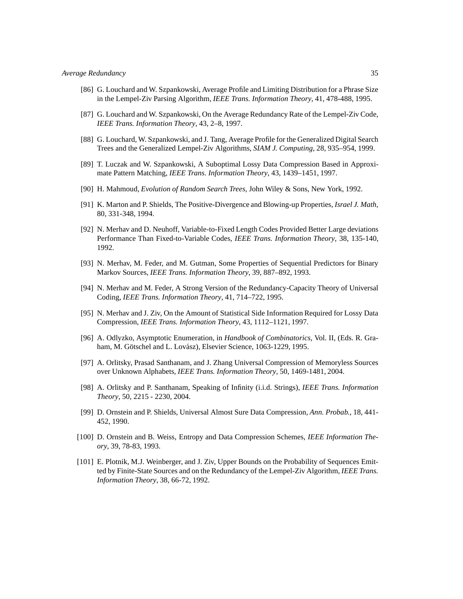- [86] G. Louchard and W. Szpankowski, Average Profile and Limiting Distribution for a Phrase Size in the Lempel-Ziv Parsing Algorithm, *IEEE Trans. Information Theory*, 41, 478-488, 1995.
- [87] G. Louchard and W. Szpankowski, On the Average Redundancy Rate of the Lempel-Ziv Code, *IEEE Trans. Information Theory*, 43, 2–8, 1997.
- [88] G. Louchard, W. Szpankowski, and J. Tang, Average Profile for the Generalized Digital Search Trees and the Generalized Lempel-Ziv Algorithms, *SIAM J. Computing*, 28, 935–954, 1999.
- [89] T. Luczak and W. Szpankowski, A Suboptimal Lossy Data Compression Based in Approximate Pattern Matching, *IEEE Trans. Information Theory*, 43, 1439–1451, 1997.
- [90] H. Mahmoud, *Evolution of Random Search Trees*, John Wiley & Sons, New York, 1992.
- [91] K. Marton and P. Shields, The Positive-Divergence and Blowing-up Properties, *Israel J. Math*, 80, 331-348, 1994.
- [92] N. Merhav and D. Neuhoff, Variable-to-Fixed Length Codes Provided Better Large deviations Performance Than Fixed-to-Variable Codes, *IEEE Trans. Information Theory*, 38, 135-140, 1992.
- [93] N. Merhav, M. Feder, and M. Gutman, Some Properties of Sequential Predictors for Binary Markov Sources, *IEEE Trans. Information Theory*, 39, 887–892, 1993.
- [94] N. Merhav and M. Feder, A Strong Version of the Redundancy-Capacity Theory of Universal Coding, *IEEE Trans. Information Theory*, 41, 714–722, 1995.
- [95] N. Merhav and J. Ziv, On the Amount of Statistical Side Information Required for Lossy Data Compression, *IEEE Trans. Information Theory*, 43, 1112–1121, 1997.
- [96] A. Odlyzko, Asymptotic Enumeration, in *Handbook of Combinatorics*, Vol. II, (Eds. R. Graham, M. Götschel and L. Lovász), Elsevier Science, 1063-1229, 1995.
- [97] A. Orlitsky, Prasad Santhanam, and J. Zhang Universal Compression of Memoryless Sources over Unknown Alphabets, *IEEE Trans. Information Theory*, 50, 1469-1481, 2004.
- [98] A. Orlitsky and P. Santhanam, Speaking of Infinity (i.i.d. Strings), *IEEE Trans. Information Theory*, 50, 2215 - 2230, 2004.
- [99] D. Ornstein and P. Shields, Universal Almost Sure Data Compression, *Ann. Probab.*, 18, 441- 452, 1990.
- [100] D. Ornstein and B. Weiss, Entropy and Data Compression Schemes, *IEEE Information Theory*, 39, 78-83, 1993.
- [101] E. Plotnik, M.J. Weinberger, and J. Ziv, Upper Bounds on the Probability of Sequences Emitted by Finite-State Sources and on the Redundancy of the Lempel-Ziv Algorithm, *IEEE Trans. Information Theory*, 38, 66-72, 1992.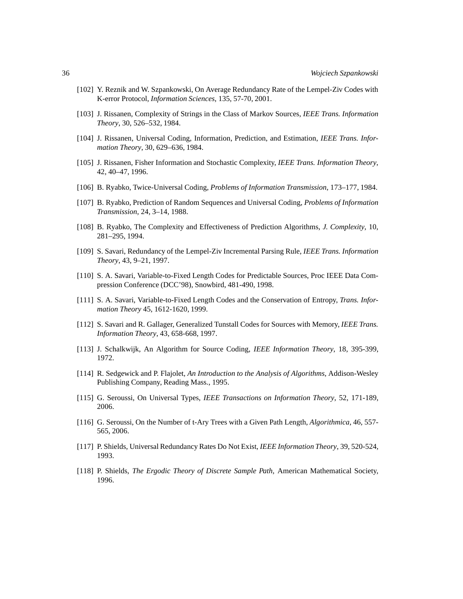- [102] Y. Reznik and W. Szpankowski, On Average Redundancy Rate of the Lempel-Ziv Codes with K-error Protocol, *Information Sciences*, 135, 57-70, 2001.
- [103] J. Rissanen, Complexity of Strings in the Class of Markov Sources, *IEEE Trans. Information Theory*, 30, 526–532, 1984.
- [104] J. Rissanen, Universal Coding, Information, Prediction, and Estimation, *IEEE Trans. Information Theory*, 30, 629–636, 1984.
- [105] J. Rissanen, Fisher Information and Stochastic Complexity, *IEEE Trans. Information Theory*, 42, 40–47, 1996.
- [106] B. Ryabko, Twice-Universal Coding, *Problems of Information Transmission*, 173–177, 1984.
- [107] B. Ryabko, Prediction of Random Sequences and Universal Coding, *Problems of Information Transmission*, 24, 3–14, 1988.
- [108] B. Ryabko, The Complexity and Effectiveness of Prediction Algorithms, *J. Complexity*, 10, 281–295, 1994.
- [109] S. Savari, Redundancy of the Lempel-Ziv Incremental Parsing Rule, *IEEE Trans. Information Theory*, 43, 9–21, 1997.
- [110] S. A. Savari, Variable-to-Fixed Length Codes for Predictable Sources, Proc IEEE Data Compression Conference (DCC'98), Snowbird, 481-490, 1998.
- [111] S. A. Savari, Variable-to-Fixed Length Codes and the Conservation of Entropy, *Trans. Information Theory* 45, 1612-1620, 1999.
- [112] S. Savari and R. Gallager, Generalized Tunstall Codes for Sources with Memory, *IEEE Trans. Information Theory*, 43, 658-668, 1997.
- [113] J. Schalkwijk, An Algorithm for Source Coding, *IEEE Information Theory*, 18, 395-399, 1972.
- [114] R. Sedgewick and P. Flajolet, *An Introduction to the Analysis of Algorithms*, Addison-Wesley Publishing Company, Reading Mass., 1995.
- [115] G. Seroussi, On Universal Types, *IEEE Transactions on Information Theory*, 52, 171-189, 2006.
- [116] G. Seroussi, On the Number of t-Ary Trees with a Given Path Length, *Algorithmica*, 46, 557- 565, 2006.
- [117] P. Shields, Universal Redundancy Rates Do Not Exist, *IEEE Information Theory*, 39, 520-524, 1993.
- [118] P. Shields, *The Ergodic Theory of Discrete Sample Path*, American Mathematical Society, 1996.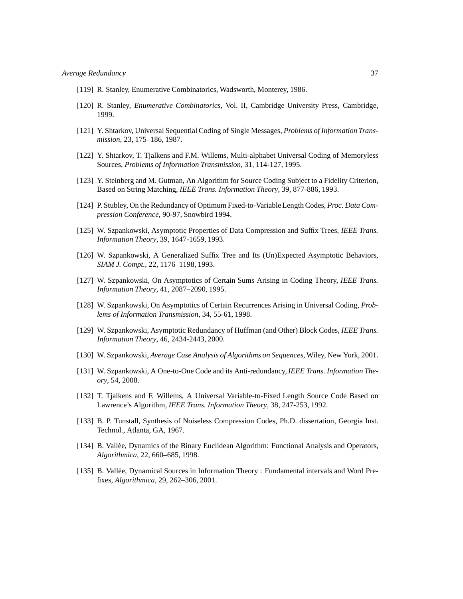- [119] R. Stanley, Enumerative Combinatorics, Wadsworth, Monterey, 1986.
- [120] R. Stanley, *Enumerative Combinatorics*, Vol. II, Cambridge University Press, Cambridge, 1999.
- [121] Y. Shtarkov, Universal Sequential Coding of Single Messages, *Problems of Information Transmission*, 23, 175–186, 1987.
- [122] Y. Shtarkov, T. Tjalkens and F.M. Willems, Multi-alphabet Universal Coding of Memoryless Sources, *Problems of Information Transmission*, 31, 114-127, 1995.
- [123] Y. Steinberg and M. Gutman, An Algorithm for Source Coding Subject to a Fidelity Criterion, Based on String Matching, *IEEE Trans. Information Theory*, 39, 877-886, 1993.
- [124] P. Stubley, On the Redundancy of Optimum Fixed-to-Variable Length Codes, *Proc. Data Compression Conference*, 90-97, Snowbird 1994.
- [125] W. Szpankowski, Asymptotic Properties of Data Compression and Suffix Trees, *IEEE Trans. Information Theory*, 39, 1647-1659, 1993.
- [126] W. Szpankowski, A Generalized Suffix Tree and Its (Un)Expected Asymptotic Behaviors, *SIAM J. Compt.*, 22, 1176–1198, 1993.
- [127] W. Szpankowski, On Asymptotics of Certain Sums Arising in Coding Theory, *IEEE Trans. Information Theory*, 41, 2087–2090, 1995.
- [128] W. Szpankowski, On Asymptotics of Certain Recurrences Arising in Universal Coding, *Problems of Information Transmission*, 34, 55-61, 1998.
- [129] W. Szpankowski, Asymptotic Redundancy of Huffman (and Other) Block Codes, *IEEE Trans. Information Theory*, 46, 2434-2443, 2000.
- [130] W. Szpankowski, *Average Case Analysis of Algorithms on Sequences*, Wiley, New York, 2001.
- [131] W. Szpankowski, A One-to-One Code and its Anti-redundancy,*IEEE Trans. Information Theory*, 54, 2008.
- [132] T. Tjalkens and F. Willems, A Universal Variable-to-Fixed Length Source Code Based on Lawrence's Algorithm, *IEEE Trans. Information Theory*, 38, 247-253, 1992.
- [133] B. P. Tunstall, Synthesis of Noiseless Compression Codes, Ph.D. dissertation, Georgia Inst. Technol., Atlanta, GA, 1967.
- [134] B. Vallée, Dynamics of the Binary Euclidean Algorithm: Functional Analysis and Operators, *Algorithmica*, 22, 660–685, 1998.
- [135] B. Vallée, Dynamical Sources in Information Theory : Fundamental intervals and Word Prefixes, *Algorithmica*, 29, 262–306, 2001.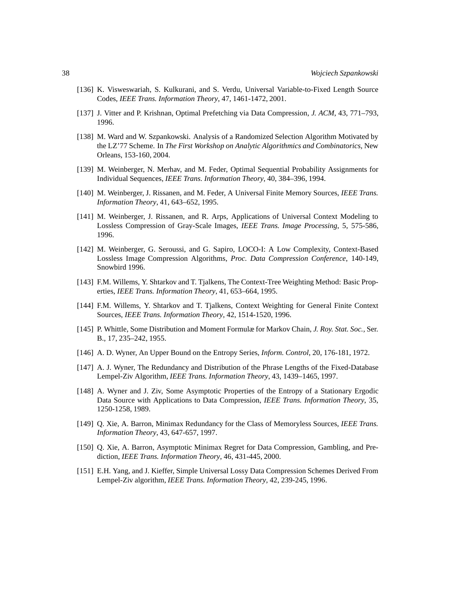- [136] K. Visweswariah, S. Kulkurani, and S. Verdu, Universal Variable-to-Fixed Length Source Codes, *IEEE Trans. Information Theory*, 47, 1461-1472, 2001.
- [137] J. Vitter and P. Krishnan, Optimal Prefetching via Data Compression, *J. ACM*, 43, 771–793, 1996.
- [138] M. Ward and W. Szpankowski. Analysis of a Randomized Selection Algorithm Motivated by the LZ'77 Scheme. In *The First Workshop on Analytic Algorithmics and Combinatorics*, New Orleans, 153-160, 2004.
- [139] M. Weinberger, N. Merhav, and M. Feder, Optimal Sequential Probability Assignments for Individual Sequences, *IEEE Trans. Information Theory*, 40, 384–396, 1994.
- [140] M. Weinberger, J. Rissanen, and M. Feder, A Universal Finite Memory Sources, *IEEE Trans. Information Theory*, 41, 643–652, 1995.
- [141] M. Weinberger, J. Rissanen, and R. Arps, Applications of Universal Context Modeling to Lossless Compression of Gray-Scale Images, *IEEE Trans. Image Processing*, 5, 575-586, 1996.
- [142] M. Weinberger, G. Seroussi, and G. Sapiro, LOCO-I: A Low Complexity, Context-Based Lossless Image Compression Algorithms, *Proc. Data Compression Conference*, 140-149, Snowbird 1996.
- [143] F.M. Willems, Y. Shtarkov and T. Tjalkens, The Context-Tree Weighting Method: Basic Properties, *IEEE Trans. Information Theory*, 41, 653–664, 1995.
- [144] F.M. Willems, Y. Shtarkov and T. Tjalkens, Context Weighting for General Finite Context Sources, *IEEE Trans. Information Theory*, 42, 1514-1520, 1996.
- [145] P. Whittle, Some Distribution and Moment Formulæ for Markov Chain, *J. Roy. Stat. Soc.,* Ser. B., 17, 235–242, 1955.
- [146] A. D. Wyner, An Upper Bound on the Entropy Series, *Inform. Control*, 20, 176-181, 1972.
- [147] A. J. Wyner, The Redundancy and Distribution of the Phrase Lengths of the Fixed-Database Lempel-Ziv Algorithm, *IEEE Trans. Information Theory*, 43, 1439–1465, 1997.
- [148] A. Wyner and J. Ziv, Some Asymptotic Properties of the Entropy of a Stationary Ergodic Data Source with Applications to Data Compression, *IEEE Trans. Information Theory*, 35, 1250-1258, 1989.
- [149] Q. Xie, A. Barron, Minimax Redundancy for the Class of Memoryless Sources, *IEEE Trans. Information Theory*, 43, 647-657, 1997.
- [150] Q. Xie, A. Barron, Asymptotic Minimax Regret for Data Compression, Gambling, and Prediction, *IEEE Trans. Information Theory*, 46, 431-445, 2000.
- [151] E.H. Yang, and J. Kieffer, Simple Universal Lossy Data Compression Schemes Derived From Lempel-Ziv algorithm, *IEEE Trans. Information Theory*, 42, 239-245, 1996.